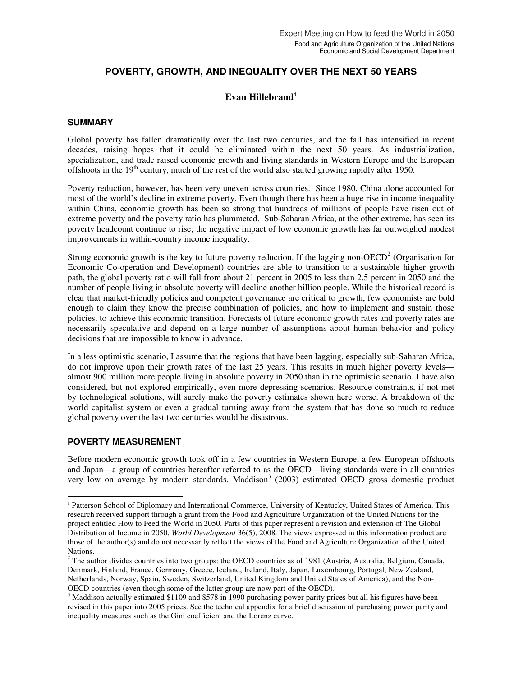# **POVERTY, GROWTH, AND INEQUALITY OVER THE NEXT 50 YEARS**

## **Evan Hillebrand**<sup>1</sup>

#### **SUMMARY**

Global poverty has fallen dramatically over the last two centuries, and the fall has intensified in recent decades, raising hopes that it could be eliminated within the next 50 years. As industrialization, specialization, and trade raised economic growth and living standards in Western Europe and the European offshoots in the  $19<sup>th</sup>$  century, much of the rest of the world also started growing rapidly after 1950.

Poverty reduction, however, has been very uneven across countries. Since 1980, China alone accounted for most of the world's decline in extreme poverty. Even though there has been a huge rise in income inequality within China, economic growth has been so strong that hundreds of millions of people have risen out of extreme poverty and the poverty ratio has plummeted. Sub-Saharan Africa, at the other extreme, has seen its poverty headcount continue to rise; the negative impact of low economic growth has far outweighed modest improvements in within-country income inequality.

Strong economic growth is the key to future poverty reduction. If the lagging non-OECD<sup>2</sup> (Organisation for Economic Co-operation and Development) countries are able to transition to a sustainable higher growth path, the global poverty ratio will fall from about 21 percent in 2005 to less than 2.5 percent in 2050 and the number of people living in absolute poverty will decline another billion people. While the historical record is clear that market-friendly policies and competent governance are critical to growth, few economists are bold enough to claim they know the precise combination of policies, and how to implement and sustain those policies, to achieve this economic transition. Forecasts of future economic growth rates and poverty rates are necessarily speculative and depend on a large number of assumptions about human behavior and policy decisions that are impossible to know in advance.

In a less optimistic scenario, I assume that the regions that have been lagging, especially sub-Saharan Africa, do not improve upon their growth rates of the last 25 years. This results in much higher poverty levels almost 900 million more people living in absolute poverty in 2050 than in the optimistic scenario. I have also considered, but not explored empirically, even more depressing scenarios. Resource constraints, if not met by technological solutions, will surely make the poverty estimates shown here worse. A breakdown of the world capitalist system or even a gradual turning away from the system that has done so much to reduce global poverty over the last two centuries would be disastrous.

## **POVERTY MEASUREMENT**

 $\ddot{ }$ 

Before modern economic growth took off in a few countries in Western Europe, a few European offshoots and Japan—a group of countries hereafter referred to as the OECD—living standards were in all countries very low on average by modern standards. Maddison<sup>3</sup> (2003) estimated OECD gross domestic product

<sup>1</sup> Patterson School of Diplomacy and International Commerce, University of Kentucky, United States of America. This research received support through a grant from the Food and Agriculture Organization of the United Nations for the project entitled How to Feed the World in 2050. Parts of this paper represent a revision and extension of The Global Distribution of Income in 2050, *World Development* 36(5), 2008. The views expressed in this information product are those of the author(s) and do not necessarily reflect the views of the Food and Agriculture Organization of the United Nations.

 $2^2$  The author divides countries into two groups: the OECD countries as of 1981 (Austria, Australia, Belgium, Canada, Denmark, Finland, France, Germany, Greece, Iceland, Ireland, Italy, Japan, Luxembourg, Portugal, New Zealand, Netherlands, Norway, Spain, Sweden, Switzerland, United Kingdom and United States of America), and the Non-OECD countries (even though some of the latter group are now part of the OECD).

 $3$  Maddison actually estimated \$1109 and \$578 in 1990 purchasing power parity prices but all his figures have been revised in this paper into 2005 prices. See the technical appendix for a brief discussion of purchasing power parity and inequality measures such as the Gini coefficient and the Lorenz curve.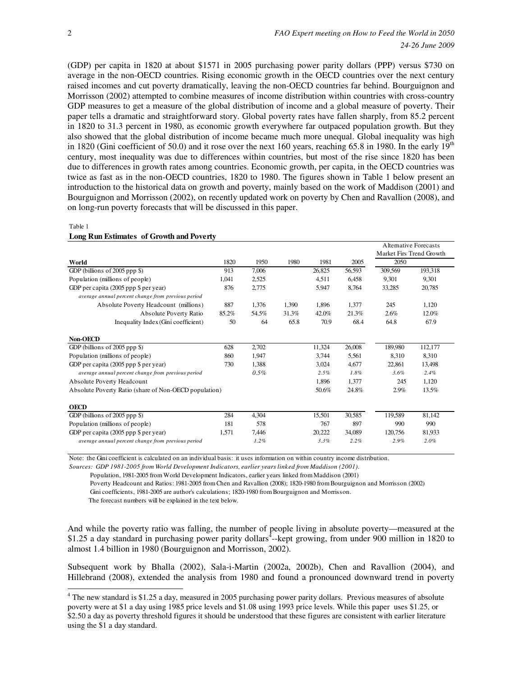(GDP) per capita in 1820 at about \$1571 in 2005 purchasing power parity dollars (PPP) versus \$730 on average in the non-OECD countries. Rising economic growth in the OECD countries over the next century raised incomes and cut poverty dramatically, leaving the non-OECD countries far behind. Bourguignon and Morrisson (2002) attempted to combine measures of income distribution within countries with cross-country GDP measures to get a measure of the global distribution of income and a global measure of poverty. Their paper tells a dramatic and straightforward story. Global poverty rates have fallen sharply, from 85.2 percent in 1820 to 31.3 percent in 1980, as economic growth everywhere far outpaced population growth. But they also showed that the global distribution of income became much more unequal. Global inequality was high in 1820 (Gini coefficient of 50.0) and it rose over the next 160 years, reaching 65.8 in 1980. In the early  $19<sup>th</sup>$ century, most inequality was due to differences within countries, but most of the rise since 1820 has been due to differences in growth rates among countries. Economic growth, per capita, in the OECD countries was twice as fast as in the non-OECD countries, 1820 to 1980. The figures shown in Table 1 below present an introduction to the historical data on growth and poverty, mainly based on the work of Maddison (2001) and Bourguignon and Morrisson (2002), on recently updated work on poverty by Chen and Ravallion (2008), and on long-run poverty forecasts that will be discussed in this paper.

|                                                       |       |         |       |        |        | <b>Alternative Forecasts</b><br>Market Firs Trend Growth |         |
|-------------------------------------------------------|-------|---------|-------|--------|--------|----------------------------------------------------------|---------|
| World                                                 | 1820  | 1950    | 1980  | 1981   | 2005   | 2050                                                     |         |
| GDP (billions of $2005$ ppp $\})$                     | 913   | 7,006   |       | 26,825 | 56,593 | 309,569                                                  | 193,318 |
| Population (millions of people)                       | 1,041 | 2,525   |       | 4,511  | 6,458  | 9,301                                                    | 9,301   |
| GDP per capita (2005 ppp \$ per year)                 | 876   | 2,775   |       | 5,947  | 8,764  | 33,285                                                   | 20,785  |
| average annual percent change from previous period    |       |         |       |        |        |                                                          |         |
| Absolute Poverty Headcount (millions)                 | 887   | 1,376   | 1,390 | 1,896  | 1,377  | 245                                                      | 1,120   |
| Absolute Poverty Ratio                                | 85.2% | 54.5%   | 31.3% | 42.0%  | 21.3%  | 2.6%                                                     | 12.0%   |
| Inequality Index (Gini coefficient)                   | 50    | 64      | 65.8  | 70.9   | 68.4   | 64.8                                                     | 67.9    |
| Non-OECD                                              |       |         |       |        |        |                                                          |         |
| GDP (billions of $2005$ ppp $\})$                     | 628   | 2,702   |       | 11,324 | 26,008 | 189,980                                                  | 112,177 |
| Population (millions of people)                       | 860   | 1,947   |       | 3,744  | 5,561  | 8,310                                                    | 8,310   |
| GDP per capita (2005 ppp \$ per year)                 | 730   | 1,388   |       | 3,024  | 4,677  | 22,861                                                   | 13,498  |
| average annual percent change from previous period    |       | $0.5\%$ |       | 2.5%   | 1.8%   | 3.6%                                                     | 2.4%    |
| Absolute Poverty Headcount                            |       |         |       | 1,896  | 1,377  | 245                                                      | 1,120   |
| Absolute Poverty Ratio (share of Non-OECD population) |       |         |       | 50.6%  | 24.8%  | 2.9%                                                     | 13.5%   |
| OECD                                                  |       |         |       |        |        |                                                          |         |
| GDP (billions of $2005$ ppp $\})$                     | 284   | 4,304   |       | 15,501 | 30,585 | 119,589                                                  | 81,142  |
| Population (millions of people)                       | 181   | 578     |       | 767    | 897    | 990                                                      | 990     |
| GDP per capita (2005 ppp \$ per year)                 | 1,571 | 7,446   |       | 20,222 | 34,089 | 120,756                                                  | 81,933  |
| average annual percent change from previous period    |       | 1.2%    |       | 3.3%   | 2.2%   | 2.9%                                                     | 2.0%    |

Table 1

Note: the Gini coefficient is calculated on an individual basis: it uses information on within country income distribution.

*Sources: GDP 1981-2005 from World Development Indicators, earlier years linked from Maddison (2001).*

Population, 1981-2005 from World Development Indicators, earlier years linked from Maddison (2001)

 Poverty Headcount and Ratios: 1981-2005 from Chen and Ravallion (2008); 1820-1980 from Bourguignon and Morrisson (2002) Gini coefficients, 1981-2005 are author's calculations; 1820-1980 from Bourguignon and Morrisson.

The forecast numbers will be explained in the text below.

And while the poverty ratio was falling, the number of people living in absolute poverty—measured at the \$1.25 a day standard in purchasing power parity dollars<sup> $\frac{1}{4}$ </sup>-kept growing, from under 900 million in 1820 to almost 1.4 billion in 1980 (Bourguignon and Morrisson, 2002).

Subsequent work by Bhalla (2002), Sala-i-Martin (2002a, 2002b), Chen and Ravallion (2004), and Hillebrand (2008), extended the analysis from 1980 and found a pronounced downward trend in poverty

<sup>&</sup>lt;sup>4</sup> The new standard is \$1.25 a day, measured in 2005 purchasing power parity dollars. Previous measures of absolute poverty were at \$1 a day using 1985 price levels and \$1.08 using 1993 price levels. While this paper uses \$1.25, or \$2.50 a day as poverty threshold figures it should be understood that these figures are consistent with earlier literature using the \$1 a day standard.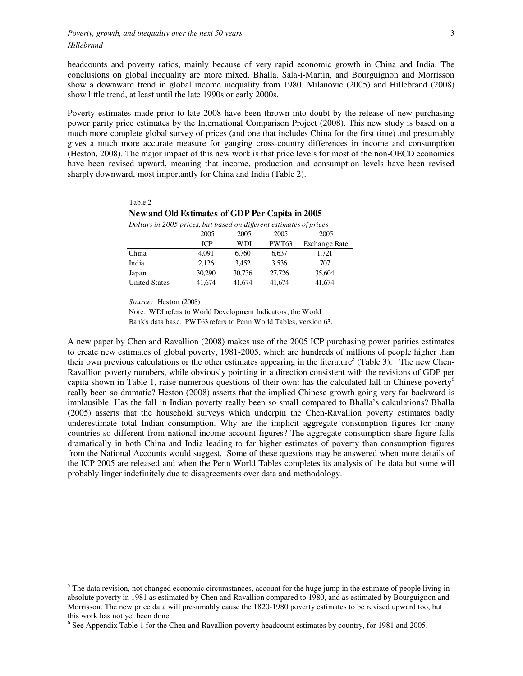headcounts and poverty ratios, mainly because of very rapid economic growth in China and India. The conclusions on global inequality are more mixed. Bhalla, Sala-i-Martin, and Bourguignon and Morrisson show a downward trend in global income inequality from 1980. Milanovic (2005) and Hillebrand (2008) show little trend, at least until the late 1990s or early 2000s.

Poverty estimates made prior to late 2008 have been thrown into doubt by the release of new purchasing power parity price estimates by the International Comparison Project (2008). This new study is based on a much more complete global survey of prices (and one that includes China for the first time) and presumably gives a much more accurate measure for gauging cross-country differences in income and consumption (Heston, 2008). The major impact of this new work is that price levels for most of the non-OECD economies have been revised upward, meaning that income, production and consumption levels have been revised sharply downward, most importantly for China and India (Table 2).

| Table 2                                                            |            |        |              |                      |  |  |  |  |
|--------------------------------------------------------------------|------------|--------|--------------|----------------------|--|--|--|--|
| New and Old Estimates of GDP Per Capita in 2005                    |            |        |              |                      |  |  |  |  |
| Dollars in 2005 prices, but based on different estimates of prices |            |        |              |                      |  |  |  |  |
|                                                                    | 2005       | 2005   | 2005         | 2005                 |  |  |  |  |
|                                                                    | <b>ICP</b> | WDI    | <b>PWT63</b> | <b>Exchange Rate</b> |  |  |  |  |
| China                                                              | 4.091      | 6.760  | 6.637        | 1.721                |  |  |  |  |
| India                                                              | 2.126      | 3.452  | 3.536        | 707                  |  |  |  |  |
| Japan                                                              | 30.290     | 30,736 | 27,726       | 35,604               |  |  |  |  |
| <b>United States</b>                                               | 41.674     | 41.674 | 41.674       | 41,674               |  |  |  |  |

*Source:* Heston (2008)

Note: WDI refers to World Development Indicators, the World

Bank's data base. PWT63 refers to Penn World Tables, version 63.

A new paper by Chen and Ravallion (2008) makes use of the 2005 ICP purchasing power parities estimates to create new estimates of global poverty, 1981-2005, which are hundreds of millions of people higher than their own previous calculations or the other estimates appearing in the literature<sup>5</sup> (Table 3). The new Chen-Ravallion poverty numbers, while obviously pointing in a direction consistent with the revisions of GDP per capita shown in Table 1, raise numerous questions of their own: has the calculated fall in Chinese poverty<sup>6</sup> really been so dramatic? Heston (2008) asserts that the implied Chinese growth going very far backward is implausible. Has the fall in Indian poverty really been so small compared to Bhalla's calculations? Bhalla (2005) asserts that the household surveys which underpin the Chen-Ravallion poverty estimates badly underestimate total Indian consumption. Why are the implicit aggregate consumption figures for many countries so different from national income account figures? The aggregate consumption share figure falls dramatically in both China and India leading to far higher estimates of poverty than consumption figures from the National Accounts would suggest. Some of these questions may be answered when more details of the ICP 2005 are released and when the Penn World Tables completes its analysis of the data but some will probably linger indefinitely due to disagreements over data and methodology.

<sup>&</sup>lt;sup>5</sup> The data revision, not changed economic circumstances, account for the huge jump in the estimate of people living in absolute poverty in 1981 as estimated by Chen and Ravallion compared to 1980, and as estimated by Bourguignon and Morrisson. The new price data will presumably cause the 1820-1980 poverty estimates to be revised upward too, but this work has not yet been done.

<sup>&</sup>lt;sup>6</sup> See Appendix Table 1 for the Chen and Ravallion poverty headcount estimates by country, for 1981 and 2005.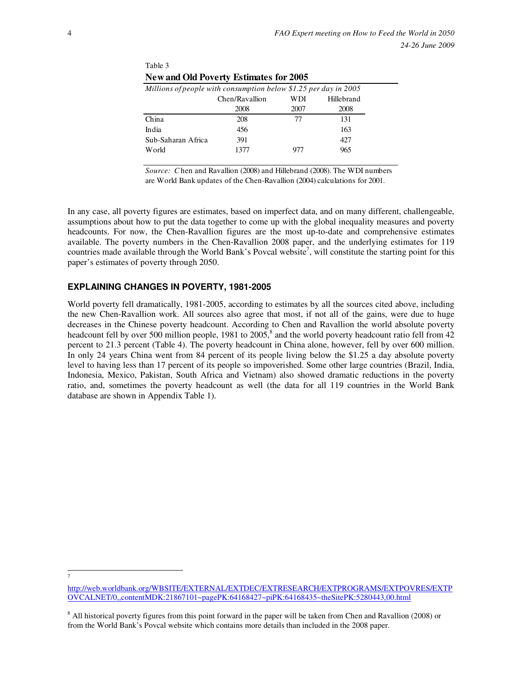| <b>INEW AIRE ORL FOVELLY ESTIMATES TOL 2003</b>                  |                |      |            |  |  |  |  |  |
|------------------------------------------------------------------|----------------|------|------------|--|--|--|--|--|
| Millions of people with consumption below \$1.25 per day in 2005 |                |      |            |  |  |  |  |  |
|                                                                  | Chen/Ravallion | WDI  | Hillebrand |  |  |  |  |  |
|                                                                  | 2008           | 2007 | 2008       |  |  |  |  |  |
| China                                                            | 208            | 77   | 131        |  |  |  |  |  |
| India                                                            | 456            |      | 163        |  |  |  |  |  |
| Sub-Saharan Africa                                               | 391            |      | 427        |  |  |  |  |  |
| World                                                            | 1377           | 977  | 965        |  |  |  |  |  |
|                                                                  |                |      |            |  |  |  |  |  |

**New and Old Poverty Estimates for 2005**

*Source: C* hen and Ravallion (2008) and Hillebrand (2008). The WDI numbers are World Bank updates of the Chen-Ravallion (2004) calculations for 2001.

In any case, all poverty figures are estimates, based on imperfect data, and on many different, challengeable, assumptions about how to put the data together to come up with the global inequality measures and poverty headcounts. For now, the Chen-Ravallion figures are the most up-to-date and comprehensive estimates available. The poverty numbers in the Chen-Ravallion 2008 paper, and the underlying estimates for 119 countries made available through the World Bank's Povcal website<sup>7</sup>, will constitute the starting point for this paper's estimates of poverty through 2050.

## **EXPLAINING CHANGES IN POVERTY, 1981-2005**

Table 3

World poverty fell dramatically, 1981-2005, according to estimates by all the sources cited above, including the new Chen-Ravallion work. All sources also agree that most, if not all of the gains, were due to huge decreases in the Chinese poverty headcount. According to Chen and Ravallion the world absolute poverty headcount fell by over 500 million people, 1981 to 2005,<sup>8</sup> and the world poverty headcount ratio fell from 42 percent to 21.3 percent (Table 4). The poverty headcount in China alone, however, fell by over 600 million. In only 24 years China went from 84 percent of its people living below the \$1.25 a day absolute poverty level to having less than 17 percent of its people so impoverished. Some other large countries (Brazil, India, Indonesia, Mexico, Pakistan, South Africa and Vietnam) also showed dramatic reductions in the poverty ratio, and, sometimes the poverty headcount as well (the data for all 119 countries in the World Bank database are shown in Appendix Table 1).

<sup>-</sup>7

http://web.worldbank.org/WBSITE/EXTERNAL/EXTDEC/EXTRESEARCH/EXTPROGRAMS/EXTPOVRES/EXTP OVCALNET/0,,contentMDK:21867101~pagePK:64168427~piPK:64168435~theSitePK:5280443,00.html

<sup>&</sup>lt;sup>8</sup> All historical poverty figures from this point forward in the paper will be taken from Chen and Ravallion (2008) or from the World Bank's Povcal website which contains more details than included in the 2008 paper.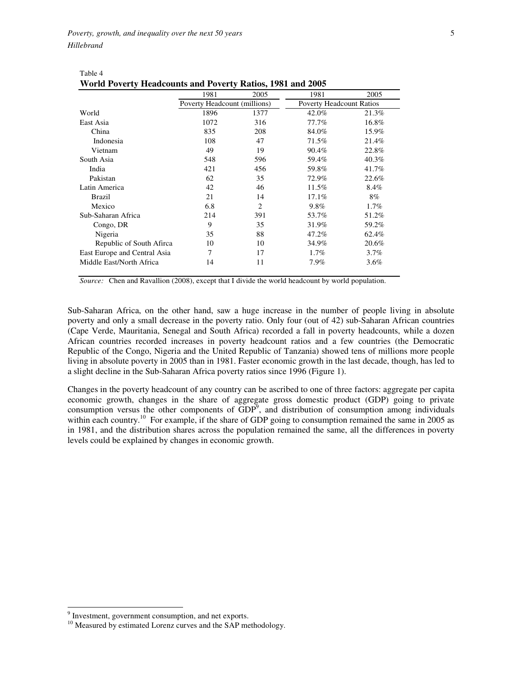Table 4

| <b>World Poverty Headcounts and Poverty Ratios, 1981 and 2005</b> |                              |                |                                 |         |  |  |  |  |
|-------------------------------------------------------------------|------------------------------|----------------|---------------------------------|---------|--|--|--|--|
|                                                                   | 1981                         | 2005           | 1981                            | 2005    |  |  |  |  |
|                                                                   | Poverty Headcount (millions) |                | <b>Poverty Headcount Ratios</b> |         |  |  |  |  |
| World                                                             | 1896                         | 1377           | 42.0%                           | 21.3%   |  |  |  |  |
| East Asia                                                         | 1072                         | 316            | 77.7%                           | 16.8%   |  |  |  |  |
| China                                                             | 835                          | 208            | 84.0%                           | 15.9%   |  |  |  |  |
| Indonesia                                                         | 108                          | 47             | 71.5%                           | 21.4%   |  |  |  |  |
| Vietnam                                                           | 49                           | 19             | 90.4%                           | 22.8%   |  |  |  |  |
| South Asia                                                        | 548                          | 596            | 59.4%                           | 40.3%   |  |  |  |  |
| India                                                             | 421                          | 456            | 59.8%                           | 41.7%   |  |  |  |  |
| Pakistan                                                          | 62                           | 35             | 72.9%                           | 22.6%   |  |  |  |  |
| Latin America                                                     | 42                           | 46             | 11.5%                           | 8.4%    |  |  |  |  |
| <b>Brazil</b>                                                     | 21                           | 14             | 17.1%                           | 8%      |  |  |  |  |
| Mexico                                                            | 6.8                          | $\overline{c}$ | $9.8\%$                         | $1.7\%$ |  |  |  |  |
| Sub-Saharan Africa                                                | 214                          | 391            | 53.7%                           | 51.2%   |  |  |  |  |
| Congo, DR                                                         | 9                            | 35             | 31.9%                           | 59.2%   |  |  |  |  |
| Nigeria                                                           | 35                           | 88             | 47.2%                           | 62.4%   |  |  |  |  |
| Republic of South Afirca                                          | 10                           | 10             | 34.9%                           | 20.6%   |  |  |  |  |
| East Europe and Central Asia                                      | 7                            | 17             | $1.7\%$                         | 3.7%    |  |  |  |  |
| Middle East/North Africa                                          | 14                           | 11             | 7.9%                            | 3.6%    |  |  |  |  |

| .                                                          |  |
|------------------------------------------------------------|--|
| World Poverty Headcounts and Poverty Ratios, 1981 and 2005 |  |

*Source:* Chen and Ravallion (2008), except that I divide the world headcount by world population.

Sub-Saharan Africa, on the other hand, saw a huge increase in the number of people living in absolute poverty and only a small decrease in the poverty ratio. Only four (out of 42) sub-Saharan African countries (Cape Verde, Mauritania, Senegal and South Africa) recorded a fall in poverty headcounts, while a dozen African countries recorded increases in poverty headcount ratios and a few countries (the Democratic Republic of the Congo, Nigeria and the United Republic of Tanzania) showed tens of millions more people living in absolute poverty in 2005 than in 1981. Faster economic growth in the last decade, though, has led to a slight decline in the Sub-Saharan Africa poverty ratios since 1996 (Figure 1).

Changes in the poverty headcount of any country can be ascribed to one of three factors: aggregate per capita economic growth, changes in the share of aggregate gross domestic product (GDP) going to private consumption versus the other components of  $GDP<sup>9</sup>$ , and distribution of consumption among individuals within each country.<sup>10</sup> For example, if the share of GDP going to consumption remained the same in 2005 as in 1981, and the distribution shares across the population remained the same, all the differences in poverty levels could be explained by changes in economic growth.

<sup>&</sup>lt;sup>9</sup> Investment, government consumption, and net exports.

<sup>&</sup>lt;sup>10</sup> Measured by estimated Lorenz curves and the SAP methodology.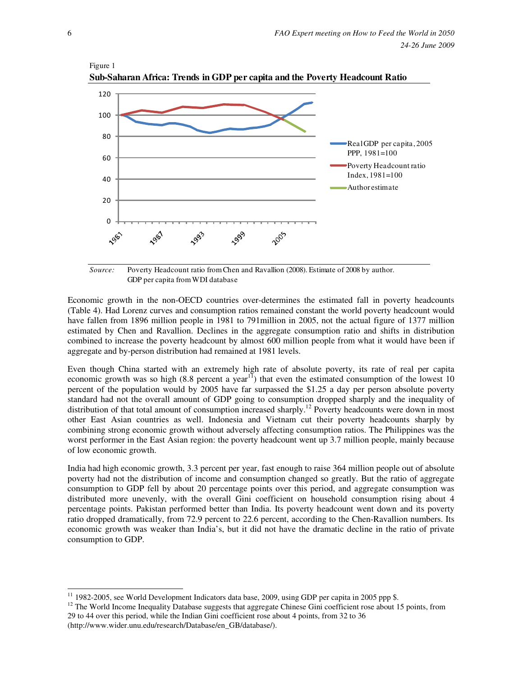

Figure 1 **Sub-Saharan Africa: Trends in GDP per capita and the Poverty Headcount Ratio**

*Source:* Poverty Headcount ratio from Chen and Ravallion (2008). Estimate of 2008 by author. GDP per capita from WDI database

Economic growth in the non-OECD countries over-determines the estimated fall in poverty headcounts (Table 4). Had Lorenz curves and consumption ratios remained constant the world poverty headcount would have fallen from 1896 million people in 1981 to 791million in 2005, not the actual figure of 1377 million estimated by Chen and Ravallion. Declines in the aggregate consumption ratio and shifts in distribution combined to increase the poverty headcount by almost 600 million people from what it would have been if aggregate and by-person distribution had remained at 1981 levels.

Even though China started with an extremely high rate of absolute poverty, its rate of real per capita economic growth was so high  $(8.8 \text{ percent a year}^{11})$  that even the estimated consumption of the lowest 10 percent of the population would by 2005 have far surpassed the \$1.25 a day per person absolute poverty standard had not the overall amount of GDP going to consumption dropped sharply and the inequality of distribution of that total amount of consumption increased sharply.<sup>12</sup> Poverty headcounts were down in most other East Asian countries as well. Indonesia and Vietnam cut their poverty headcounts sharply by combining strong economic growth without adversely affecting consumption ratios. The Philippines was the worst performer in the East Asian region: the poverty headcount went up 3.7 million people, mainly because of low economic growth.

India had high economic growth, 3.3 percent per year, fast enough to raise 364 million people out of absolute poverty had not the distribution of income and consumption changed so greatly. But the ratio of aggregate consumption to GDP fell by about 20 percentage points over this period, and aggregate consumption was distributed more unevenly, with the overall Gini coefficient on household consumption rising about 4 percentage points. Pakistan performed better than India. Its poverty headcount went down and its poverty ratio dropped dramatically, from 72.9 percent to 22.6 percent, according to the Chen-Ravallion numbers. Its economic growth was weaker than India's, but it did not have the dramatic decline in the ratio of private consumption to GDP.

-

<sup>&</sup>lt;sup>11</sup> 1982-2005, see World Development Indicators data base, 2009, using GDP per capita in 2005 ppp \$.

<sup>&</sup>lt;sup>12</sup> The World Income Inequality Database suggests that aggregate Chinese Gini coefficient rose about 15 points, from 29 to 44 over this period, while the Indian Gini coefficient rose about 4 points, from 32 to 36 (http://www.wider.unu.edu/research/Database/en\_GB/database/).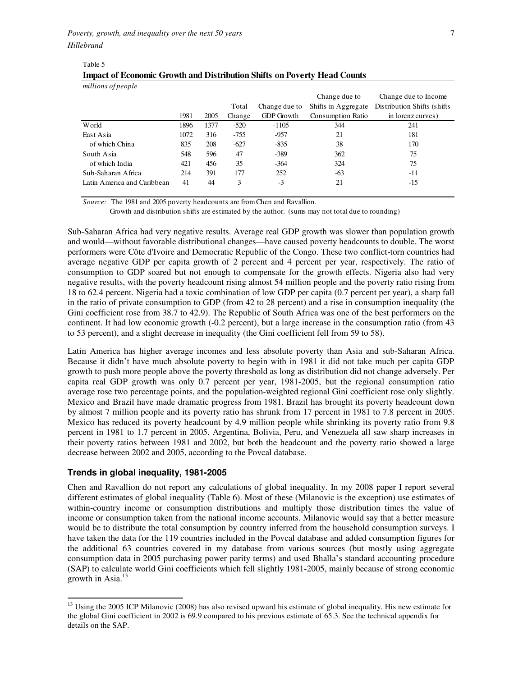Table 5

| millions of people          |      |      |        |                   |                          |                              |
|-----------------------------|------|------|--------|-------------------|--------------------------|------------------------------|
|                             |      |      |        |                   | Change due to            | Change due to Income         |
|                             |      |      | Total  | Change due to     | Shifts in Aggregate      | Distribution Shifts (shifts) |
|                             | 1981 | 2005 | Change | <b>GDP</b> Growth | <b>Consumption Ratio</b> | in lorenz curves)            |
| World                       | 1896 | 1377 | $-520$ | $-1105$           | 344                      | 241                          |
| East Asia                   | 1072 | 316  | $-755$ | $-957$            | 21                       | 181                          |
| of which China              | 835  | 208  | $-627$ | $-835$            | 38                       | 170                          |
| South Asia                  | 548  | 596  | 47     | $-389$            | 362                      | 75                           |
| of which India              | 421  | 456  | 35     | $-364$            | 324                      | 75                           |
| Sub-Saharan Africa          | 214  | 391  | 177    | 252               | $-63$                    | -11                          |
| Latin America and Caribbean | 41   | 44   | 3      | $-3$              | 21                       | $-15$                        |

**Impact of Economic Growth and Distribution Shifts on Poverty Head Counts**

*Source:* The 1981 and 2005 poverty headcounts are from Chen and Ravallion.

Growth and distribution shifts are estimated by the author. (sums may not total due to rounding)

Sub-Saharan Africa had very negative results. Average real GDP growth was slower than population growth and would—without favorable distributional changes—have caused poverty headcounts to double. The worst performers were Côte d'Ivoire and Democratic Republic of the Congo. These two conflict-torn countries had average negative GDP per capita growth of 2 percent and 4 percent per year, respectively. The ratio of consumption to GDP soared but not enough to compensate for the growth effects. Nigeria also had very negative results, with the poverty headcount rising almost 54 million people and the poverty ratio rising from 18 to 62.4 percent. Nigeria had a toxic combination of low GDP per capita (0.7 percent per year), a sharp fall in the ratio of private consumption to GDP (from 42 to 28 percent) and a rise in consumption inequality (the Gini coefficient rose from 38.7 to 42.9). The Republic of South Africa was one of the best performers on the continent. It had low economic growth (-0.2 percent), but a large increase in the consumption ratio (from 43 to 53 percent), and a slight decrease in inequality (the Gini coefficient fell from 59 to 58).

Latin America has higher average incomes and less absolute poverty than Asia and sub-Saharan Africa. Because it didn't have much absolute poverty to begin with in 1981 it did not take much per capita GDP growth to push more people above the poverty threshold as long as distribution did not change adversely. Per capita real GDP growth was only 0.7 percent per year, 1981-2005, but the regional consumption ratio average rose two percentage points, and the population-weighted regional Gini coefficient rose only slightly. Mexico and Brazil have made dramatic progress from 1981. Brazil has brought its poverty headcount down by almost 7 million people and its poverty ratio has shrunk from 17 percent in 1981 to 7.8 percent in 2005. Mexico has reduced its poverty headcount by 4.9 million people while shrinking its poverty ratio from 9.8 percent in 1981 to 1.7 percent in 2005. Argentina, Bolivia, Peru, and Venezuela all saw sharp increases in their poverty ratios between 1981 and 2002, but both the headcount and the poverty ratio showed a large decrease between 2002 and 2005, according to the Povcal database.

#### **Trends in global inequality, 1981-2005**

 $\ddot{ }$ 

Chen and Ravallion do not report any calculations of global inequality. In my 2008 paper I report several different estimates of global inequality (Table 6). Most of these (Milanovic is the exception) use estimates of within-country income or consumption distributions and multiply those distribution times the value of income or consumption taken from the national income accounts. Milanovic would say that a better measure would be to distribute the total consumption by country inferred from the household consumption surveys. I have taken the data for the 119 countries included in the Povcal database and added consumption figures for the additional 63 countries covered in my database from various sources (but mostly using aggregate consumption data in 2005 purchasing power parity terms) and used Bhalla's standard accounting procedure (SAP) to calculate world Gini coefficients which fell slightly 1981-2005, mainly because of strong economic growth in Asia.<sup>13</sup>

<sup>&</sup>lt;sup>13</sup> Using the 2005 ICP Milanovic (2008) has also revised upward his estimate of global inequality. His new estimate for the global Gini coefficient in 2002 is 69.9 compared to his previous estimate of 65.3. See the technical appendix for details on the SAP.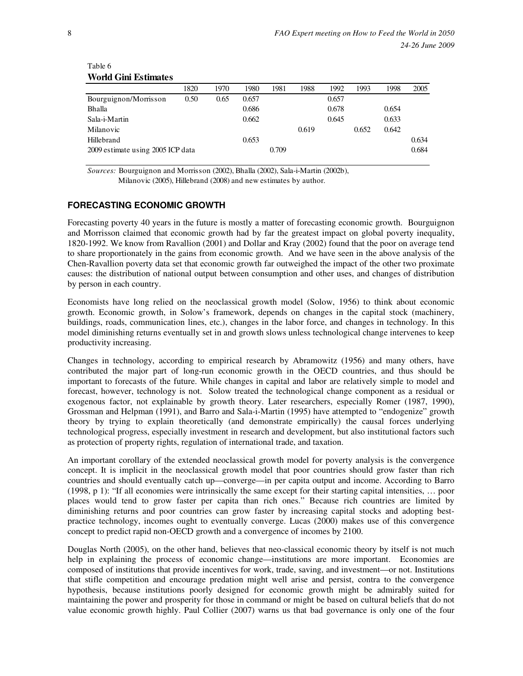## Table 6 **World Gini Estimates**

|                                   | 1820 | 1970 | 1980  | 1981  | 1988  | 1992  | 1993  | 1998  | 2005  |
|-----------------------------------|------|------|-------|-------|-------|-------|-------|-------|-------|
| Bourguignon/Morrisson             | 0.50 | 0.65 | 0.657 |       |       | 0.657 |       |       |       |
| Bhalla                            |      |      | 0.686 |       |       | 0.678 |       | 0.654 |       |
| Sala-i-Martin                     |      |      | 0.662 |       |       | 0.645 |       | 0.633 |       |
| Milanovic                         |      |      |       |       | 0.619 |       | 0.652 | 0.642 |       |
| Hillebrand                        |      |      | 0.653 |       |       |       |       |       | 0.634 |
| 2009 estimate using 2005 ICP data |      |      |       | 0.709 |       |       |       |       | 0.684 |
|                                   |      |      |       |       |       |       |       |       |       |

*Sources:* Bourguignon and Morrisson (2002), Bhalla (2002), Sala-i-Martin (2002b), Milanovic (2005), Hillebrand (2008) and new estimates by author.

## **FORECASTING ECONOMIC GROWTH**

Forecasting poverty 40 years in the future is mostly a matter of forecasting economic growth. Bourguignon and Morrisson claimed that economic growth had by far the greatest impact on global poverty inequality, 1820-1992. We know from Ravallion (2001) and Dollar and Kray (2002) found that the poor on average tend to share proportionately in the gains from economic growth. And we have seen in the above analysis of the Chen-Ravallion poverty data set that economic growth far outweighed the impact of the other two proximate causes: the distribution of national output between consumption and other uses, and changes of distribution by person in each country.

Economists have long relied on the neoclassical growth model (Solow, 1956) to think about economic growth. Economic growth, in Solow's framework, depends on changes in the capital stock (machinery, buildings, roads, communication lines, etc.), changes in the labor force, and changes in technology. In this model diminishing returns eventually set in and growth slows unless technological change intervenes to keep productivity increasing.

Changes in technology, according to empirical research by Abramowitz (1956) and many others, have contributed the major part of long-run economic growth in the OECD countries, and thus should be important to forecasts of the future. While changes in capital and labor are relatively simple to model and forecast, however, technology is not. Solow treated the technological change component as a residual or exogenous factor, not explainable by growth theory. Later researchers, especially Romer (1987, 1990), Grossman and Helpman (1991), and Barro and Sala-i-Martin (1995) have attempted to "endogenize" growth theory by trying to explain theoretically (and demonstrate empirically) the causal forces underlying technological progress, especially investment in research and development, but also institutional factors such as protection of property rights, regulation of international trade, and taxation.

An important corollary of the extended neoclassical growth model for poverty analysis is the convergence concept. It is implicit in the neoclassical growth model that poor countries should grow faster than rich countries and should eventually catch up—converge—in per capita output and income. According to Barro (1998, p 1): "If all economies were intrinsically the same except for their starting capital intensities, … poor places would tend to grow faster per capita than rich ones." Because rich countries are limited by diminishing returns and poor countries can grow faster by increasing capital stocks and adopting bestpractice technology, incomes ought to eventually converge. Lucas (2000) makes use of this convergence concept to predict rapid non-OECD growth and a convergence of incomes by 2100.

Douglas North (2005), on the other hand, believes that neo-classical economic theory by itself is not much help in explaining the process of economic change—institutions are more important. Economies are composed of institutions that provide incentives for work, trade, saving, and investment—or not. Institutions that stifle competition and encourage predation might well arise and persist, contra to the convergence hypothesis, because institutions poorly designed for economic growth might be admirably suited for maintaining the power and prosperity for those in command or might be based on cultural beliefs that do not value economic growth highly. Paul Collier (2007) warns us that bad governance is only one of the four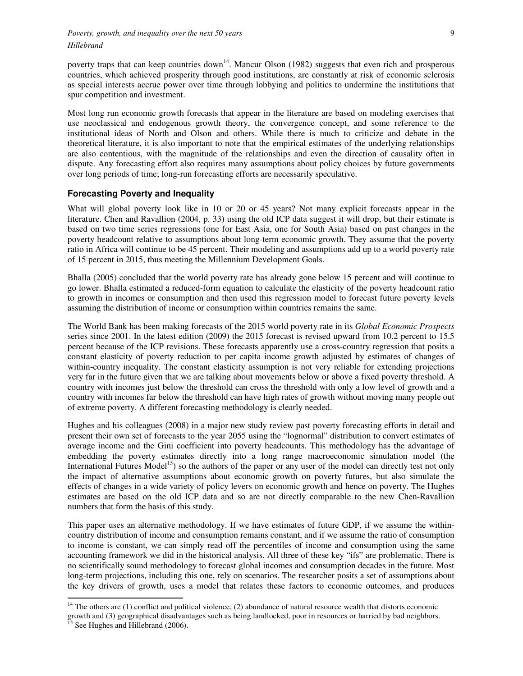poverty traps that can keep countries down<sup>14</sup>. Mancur Olson (1982) suggests that even rich and prosperous countries, which achieved prosperity through good institutions, are constantly at risk of economic sclerosis as special interests accrue power over time through lobbying and politics to undermine the institutions that spur competition and investment.

Most long run economic growth forecasts that appear in the literature are based on modeling exercises that use neoclassical and endogenous growth theory, the convergence concept, and some reference to the institutional ideas of North and Olson and others. While there is much to criticize and debate in the theoretical literature, it is also important to note that the empirical estimates of the underlying relationships are also contentious, with the magnitude of the relationships and even the direction of causality often in dispute. Any forecasting effort also requires many assumptions about policy choices by future governments over long periods of time; long-run forecasting efforts are necessarily speculative.

## **Forecasting Poverty and Inequality**

What will global poverty look like in 10 or 20 or 45 years? Not many explicit forecasts appear in the literature. Chen and Ravallion (2004, p. 33) using the old ICP data suggest it will drop, but their estimate is based on two time series regressions (one for East Asia, one for South Asia) based on past changes in the poverty headcount relative to assumptions about long-term economic growth. They assume that the poverty ratio in Africa will continue to be 45 percent. Their modeling and assumptions add up to a world poverty rate of 15 percent in 2015, thus meeting the Millennium Development Goals.

Bhalla (2005) concluded that the world poverty rate has already gone below 15 percent and will continue to go lower. Bhalla estimated a reduced-form equation to calculate the elasticity of the poverty headcount ratio to growth in incomes or consumption and then used this regression model to forecast future poverty levels assuming the distribution of income or consumption within countries remains the same.

The World Bank has been making forecasts of the 2015 world poverty rate in its *Global Economic Prospects* series since 2001. In the latest edition (2009) the 2015 forecast is revised upward from 10.2 percent to 15.5 percent because of the ICP revisions. These forecasts apparently use a cross-country regression that posits a constant elasticity of poverty reduction to per capita income growth adjusted by estimates of changes of within-country inequality. The constant elasticity assumption is not very reliable for extending projections very far in the future given that we are talking about movements below or above a fixed poverty threshold. A country with incomes just below the threshold can cross the threshold with only a low level of growth and a country with incomes far below the threshold can have high rates of growth without moving many people out of extreme poverty. A different forecasting methodology is clearly needed.

Hughes and his colleagues (2008) in a major new study review past poverty forecasting efforts in detail and present their own set of forecasts to the year 2055 using the "lognormal" distribution to convert estimates of average income and the Gini coefficient into poverty headcounts. This methodology has the advantage of embedding the poverty estimates directly into a long range macroeconomic simulation model (the International Futures Model<sup>15</sup>) so the authors of the paper or any user of the model can directly test not only the impact of alternative assumptions about economic growth on poverty futures, but also simulate the effects of changes in a wide variety of policy levers on economic growth and hence on poverty. The Hughes estimates are based on the old ICP data and so are not directly comparable to the new Chen-Ravallion numbers that form the basis of this study.

This paper uses an alternative methodology. If we have estimates of future GDP, if we assume the withincountry distribution of income and consumption remains constant, and if we assume the ratio of consumption to income is constant, we can simply read off the percentiles of income and consumption using the same accounting framework we did in the historical analysis. All three of these key "ifs" are problematic. There is no scientifically sound methodology to forecast global incomes and consumption decades in the future. Most long-term projections, including this one, rely on scenarios. The researcher posits a set of assumptions about the key drivers of growth, uses a model that relates these factors to economic outcomes, and produces

 $\ddot{ }$ 

 $14$  The others are (1) conflict and political violence, (2) abundance of natural resource wealth that distorts economic growth and (3) geographical disadvantages such as being landlocked, poor in resources or harried by bad neighbors.

 $<sup>15</sup>$  See Hughes and Hillebrand (2006).</sup>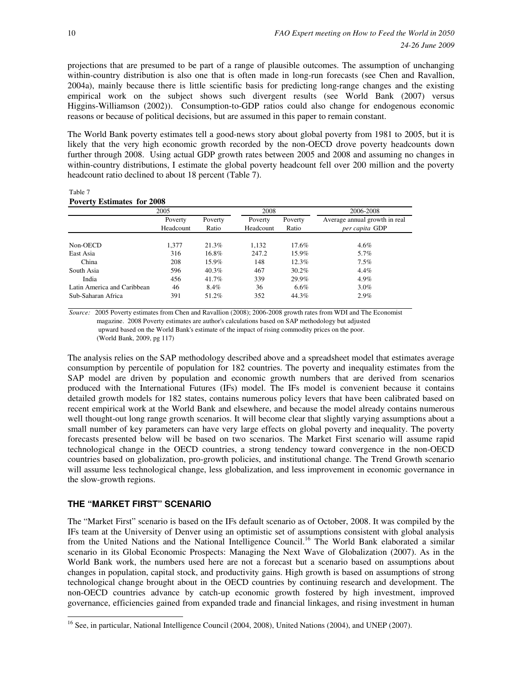projections that are presumed to be part of a range of plausible outcomes. The assumption of unchanging within-country distribution is also one that is often made in long-run forecasts (see Chen and Ravallion, 2004a), mainly because there is little scientific basis for predicting long-range changes and the existing empirical work on the subject shows such divergent results (see World Bank (2007) versus Higgins-Williamson (2002)). Consumption-to-GDP ratios could also change for endogenous economic reasons or because of political decisions, but are assumed in this paper to remain constant.

The World Bank poverty estimates tell a good-news story about global poverty from 1981 to 2005, but it is likely that the very high economic growth recorded by the non-OECD drove poverty headcounts down further through 2008. Using actual GDP growth rates between 2005 and 2008 and assuming no changes in within-country distributions, I estimate the global poverty headcount fell over 200 million and the poverty headcount ratio declined to about 18 percent (Table 7).

Table 7 **Poverty Estimates for 2008**

|                             | 2005      |          | 2008      |          | 2006-2008                     |
|-----------------------------|-----------|----------|-----------|----------|-------------------------------|
|                             | Poverty   | Poverty  | Poverty   | Poverty  | Average annual growth in real |
|                             | Headcount | Ratio    | Headcount | Ratio    | per capita GDP                |
|                             |           |          |           |          |                               |
| Non-OECD                    | 1,377     | 21.3%    | 1,132     | $17.6\%$ | $4.6\%$                       |
| East Asia                   | 316       | 16.8%    | 247.2     | 15.9%    | 5.7%                          |
| China                       | 208       | $15.9\%$ | 148       | 12.3%    | $7.5\%$                       |
| South Asia                  | 596       | 40.3%    | 467       | $30.2\%$ | $4.4\%$                       |
| India                       | 456       | 41.7%    | 339       | 29.9%    | 4.9%                          |
| Latin America and Caribbean | 46        | 8.4%     | 36        | $6.6\%$  | $3.0\%$                       |
| Sub-Saharan Africa          | 391       | 51.2%    | 352       | 44.3%    | 2.9%                          |

*Source:* 2005 Poverty estimates from Chen and Ravallion (2008); 2006-2008 growth rates from WDI and The Economist magazine. 2008 Poverty estimates are author's calculations based on SAP methodology but adjusted upward based on the World Bank's estimate of the impact of rising commodity prices on the poor. (World Bank, 2009, pg 117)

The analysis relies on the SAP methodology described above and a spreadsheet model that estimates average consumption by percentile of population for 182 countries. The poverty and inequality estimates from the SAP model are driven by population and economic growth numbers that are derived from scenarios produced with the International Futures (IFs) model. The IFs model is convenient because it contains detailed growth models for 182 states, contains numerous policy levers that have been calibrated based on recent empirical work at the World Bank and elsewhere, and because the model already contains numerous well thought-out long range growth scenarios. It will become clear that slightly varying assumptions about a small number of key parameters can have very large effects on global poverty and inequality. The poverty forecasts presented below will be based on two scenarios. The Market First scenario will assume rapid technological change in the OECD countries, a strong tendency toward convergence in the non-OECD countries based on globalization, pro-growth policies, and institutional change. The Trend Growth scenario will assume less technological change, less globalization, and less improvement in economic governance in the slow-growth regions.

# **THE "MARKET FIRST" SCENARIO**

 $\ddot{ }$ 

The "Market First" scenario is based on the IFs default scenario as of October, 2008. It was compiled by the IFs team at the University of Denver using an optimistic set of assumptions consistent with global analysis from the United Nations and the National Intelligence Council.<sup>16</sup> The World Bank elaborated a similar scenario in its Global Economic Prospects: Managing the Next Wave of Globalization (2007). As in the World Bank work, the numbers used here are not a forecast but a scenario based on assumptions about changes in population, capital stock, and productivity gains. High growth is based on assumptions of strong technological change brought about in the OECD countries by continuing research and development. The non-OECD countries advance by catch-up economic growth fostered by high investment, improved governance, efficiencies gained from expanded trade and financial linkages, and rising investment in human

<sup>&</sup>lt;sup>16</sup> See, in particular, National Intelligence Council (2004, 2008), United Nations (2004), and UNEP (2007).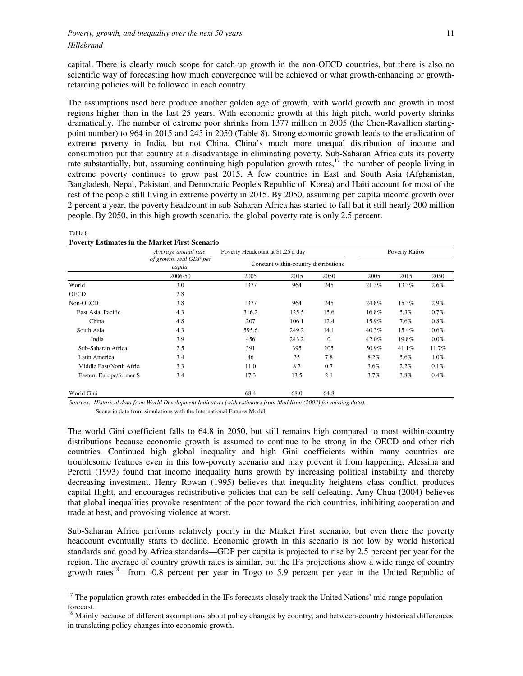capital. There is clearly much scope for catch-up growth in the non-OECD countries, but there is also no scientific way of forecasting how much convergence will be achieved or what growth-enhancing or growthretarding policies will be followed in each country.

The assumptions used here produce another golden age of growth, with world growth and growth in most regions higher than in the last 25 years. With economic growth at this high pitch, world poverty shrinks dramatically. The number of extreme poor shrinks from 1377 million in 2005 (the Chen-Ravallion startingpoint number) to 964 in 2015 and 245 in 2050 (Table 8). Strong economic growth leads to the eradication of extreme poverty in India, but not China. China's much more unequal distribution of income and consumption put that country at a disadvantage in eliminating poverty. Sub-Saharan Africa cuts its poverty rate substantially, but, assuming continuing high population growth rates, $17$  the number of people living in extreme poverty continues to grow past 2015. A few countries in East and South Asia (Afghanistan, Bangladesh, Nepal, Pakistan, and Democratic People's Republic of Korea) and Haiti account for most of the rest of the people still living in extreme poverty in 2015. By 2050, assuming per capita income growth over 2 percent a year, the poverty headcount in sub-Saharan Africa has started to fall but it still nearly 200 million people. By 2050, in this high growth scenario, the global poverty rate is only 2.5 percent.

#### **Poverty Estimates in the Market First Scenario**

|                          | Average annual rate               | Poverty Headcount at \$1.25 a day     |       |              |       | <b>Poverty Ratios</b> |         |
|--------------------------|-----------------------------------|---------------------------------------|-------|--------------|-------|-----------------------|---------|
|                          | of growth, real GDP per<br>capita | Constant within-country distributions |       |              |       |                       |         |
|                          | 2006-50                           | 2005                                  | 2015  | 2050         | 2005  | 2015                  | 2050    |
| World                    | 3.0                               | 1377                                  | 964   | 245          | 21.3% | 13.3%                 | 2.6%    |
| <b>OECD</b>              | 2.8                               |                                       |       |              |       |                       |         |
| Non-OECD                 | 3.8                               | 1377                                  | 964   | 245          | 24.8% | 15.3%                 | 2.9%    |
| East Asia, Pacific       | 4.3                               | 316.2                                 | 125.5 | 15.6         | 16.8% | 5.3%                  | 0.7%    |
| China                    | 4.8                               | 207                                   | 106.1 | 12.4         | 15.9% | 7.6%                  | 0.8%    |
| South Asia               | 4.3                               | 595.6                                 | 249.2 | 14.1         | 40.3% | 15.4%                 | 0.6%    |
| India                    | 3.9                               | 456                                   | 243.2 | $\mathbf{0}$ | 42.0% | 19.8%                 | $0.0\%$ |
| Sub-Saharan Africa       | 2.5                               | 391                                   | 395   | 205          | 50.9% | 41.1%                 | 11.7%   |
| Latin America            | 3.4                               | 46                                    | 35    | 7.8          | 8.2%  | 5.6%                  | $1.0\%$ |
| Middle East/North Afric: | 3.3                               | 11.0                                  | 8.7   | 0.7          | 3.6%  | 2.2%                  | 0.1%    |
| Eastern Europe/former S  | 3.4                               | 17.3                                  | 13.5  | 2.1          | 3.7%  | 3.8%                  | 0.4%    |
| World Gini               |                                   | 68.4                                  | 68.0  | 64.8         |       |                       |         |

-

Table 8

*Sources: Historical data from World Development Indicators (with estimates from Maddison (2003) for missing data).*

Scenario data from simulations with the International Futures Model

The world Gini coefficient falls to 64.8 in 2050, but still remains high compared to most within-country distributions because economic growth is assumed to continue to be strong in the OECD and other rich countries. Continued high global inequality and high Gini coefficients within many countries are troublesome features even in this low-poverty scenario and may prevent it from happening. Alessina and Perotti (1993) found that income inequality hurts growth by increasing political instability and thereby decreasing investment. Henry Rowan (1995) believes that inequality heightens class conflict, produces capital flight, and encourages redistributive policies that can be self-defeating. Amy Chua (2004) believes that global inequalities provoke resentment of the poor toward the rich countries, inhibiting cooperation and trade at best, and provoking violence at worst.

Sub-Saharan Africa performs relatively poorly in the Market First scenario, but even there the poverty headcount eventually starts to decline. Economic growth in this scenario is not low by world historical standards and good by Africa standards—GDP per capita is projected to rise by 2.5 percent per year for the region. The average of country growth rates is similar, but the IFs projections show a wide range of country growth rates<sup>18</sup>—from -0.8 percent per year in Togo to 5.9 percent per year in the United Republic of

<sup>&</sup>lt;sup>17</sup> The population growth rates embedded in the IFs forecasts closely track the United Nations' mid-range population forecast.

 $<sup>18</sup>$  Mainly because of different assumptions about policy changes by country, and between-country historical differences</sup> in translating policy changes into economic growth.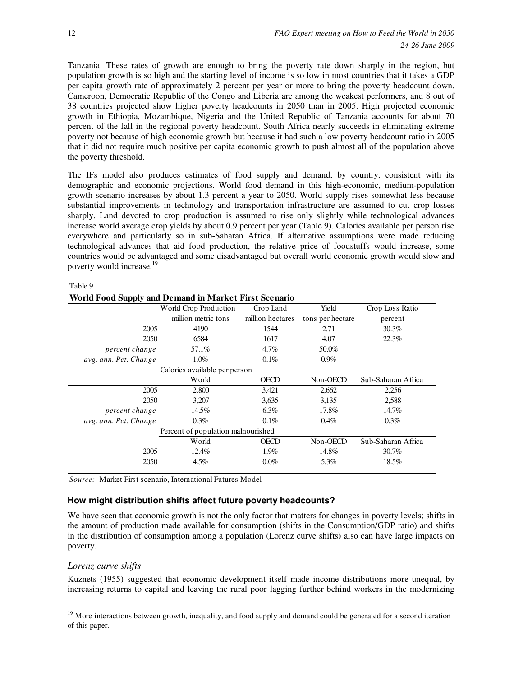Tanzania. These rates of growth are enough to bring the poverty rate down sharply in the region, but population growth is so high and the starting level of income is so low in most countries that it takes a GDP per capita growth rate of approximately 2 percent per year or more to bring the poverty headcount down. Cameroon, Democratic Republic of the Congo and Liberia are among the weakest performers, and 8 out of 38 countries projected show higher poverty headcounts in 2050 than in 2005. High projected economic growth in Ethiopia, Mozambique, Nigeria and the United Republic of Tanzania accounts for about 70 percent of the fall in the regional poverty headcount. South Africa nearly succeeds in eliminating extreme poverty not because of high economic growth but because it had such a low poverty headcount ratio in 2005 that it did not require much positive per capita economic growth to push almost all of the population above the poverty threshold.

The IFs model also produces estimates of food supply and demand, by country, consistent with its demographic and economic projections. World food demand in this high-economic, medium-population growth scenario increases by about 1.3 percent a year to 2050. World supply rises somewhat less because substantial improvements in technology and transportation infrastructure are assumed to cut crop losses sharply. Land devoted to crop production is assumed to rise only slightly while technological advances increase world average crop yields by about 0.9 percent per year (Table 9). Calories available per person rise everywhere and particularly so in sub-Saharan Africa. If alternative assumptions were made reducing technological advances that aid food production, the relative price of foodstuffs would increase, some countries would be advantaged and some disadvantaged but overall world economic growth would slow and poverty would increase.<sup>19</sup>

#### Table 9

#### **World Food Supply and Demand in Market First Scenario**

|                       | World Crop Production              | Crop Land        | Yield            | Crop Loss Ratio    |
|-----------------------|------------------------------------|------------------|------------------|--------------------|
|                       | million metric tons                | million hectares | tons per hectare | percent            |
| 2005                  | 4190                               | 1544             | 2.71             | $30.3\%$           |
| 2050                  | 6584                               | 1617             | 4.07             | 22.3%              |
| percent change        | 57.1%                              | 4.7%             | 50.0%            |                    |
| avg. ann. Pct. Change | $1.0\%$                            | $0.1\%$          | $0.9\%$          |                    |
|                       | Calories available per person      |                  |                  |                    |
|                       | World                              | <b>OECD</b>      | Non-OECD         | Sub-Saharan Africa |
| 2005                  | 2,800                              | 3,421            | 2,662            | 2,256              |
| 2050                  | 3,207                              | 3,635            | 3,135            | 2,588              |
| percent change        | 14.5%                              | $6.3\%$          | 17.8%            | 14.7%              |
| avg. ann. Pct. Change | $0.3\%$                            | $0.1\%$          | $0.4\%$          | $0.3\%$            |
|                       | Percent of population malnourished |                  |                  |                    |
|                       | World                              | <b>OECD</b>      | Non-OECD         | Sub-Saharan Africa |
| 2005                  | 12.4%                              | 1.9%             | 14.8%            | $30.7\%$           |
| 2050                  | $4.5\%$                            | 0.0%             | 5.3%             | 18.5%              |
|                       |                                    |                  |                  |                    |

*Source:* Market First scenario, International Futures Model

## **How might distribution shifts affect future poverty headcounts?**

We have seen that economic growth is not the only factor that matters for changes in poverty levels; shifts in the amount of production made available for consumption (shifts in the Consumption/GDP ratio) and shifts in the distribution of consumption among a population (Lorenz curve shifts) also can have large impacts on poverty.

## *Lorenz curve shifts*

 $\ddot{ }$ 

Kuznets (1955) suggested that economic development itself made income distributions more unequal, by increasing returns to capital and leaving the rural poor lagging further behind workers in the modernizing

<sup>&</sup>lt;sup>19</sup> More interactions between growth, inequality, and food supply and demand could be generated for a second iteration of this paper.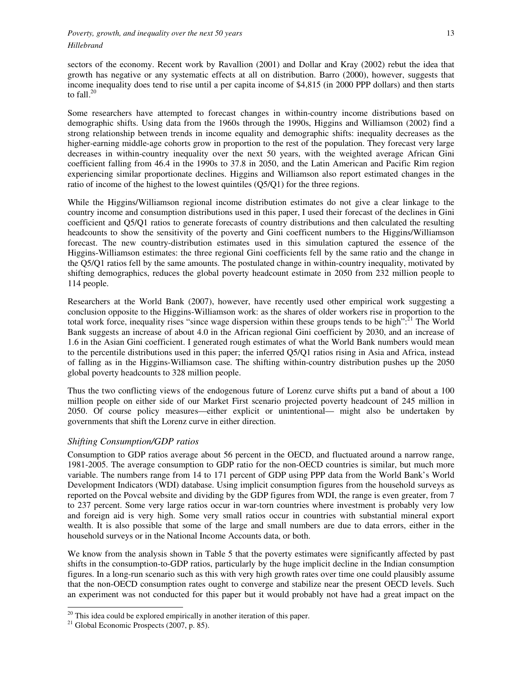sectors of the economy. Recent work by Ravallion (2001) and Dollar and Kray (2002) rebut the idea that growth has negative or any systematic effects at all on distribution. Barro (2000), however, suggests that income inequality does tend to rise until a per capita income of \$4,815 (in 2000 PPP dollars) and then starts to fall. $^{20}$ 

Some researchers have attempted to forecast changes in within-country income distributions based on demographic shifts. Using data from the 1960s through the 1990s, Higgins and Williamson (2002) find a strong relationship between trends in income equality and demographic shifts: inequality decreases as the higher-earning middle-age cohorts grow in proportion to the rest of the population. They forecast very large decreases in within-country inequality over the next 50 years, with the weighted average African Gini coefficient falling from 46.4 in the 1990s to 37.8 in 2050, and the Latin American and Pacific Rim region experiencing similar proportionate declines. Higgins and Williamson also report estimated changes in the ratio of income of the highest to the lowest quintiles (Q5/Q1) for the three regions.

While the Higgins/Williamson regional income distribution estimates do not give a clear linkage to the country income and consumption distributions used in this paper, I used their forecast of the declines in Gini coefficient and Q5/Q1 ratios to generate forecasts of country distributions and then calculated the resulting headcounts to show the sensitivity of the poverty and Gini coefficent numbers to the Higgins/Williamson forecast. The new country-distribution estimates used in this simulation captured the essence of the Higgins-Williamson estimates: the three regional Gini coefficients fell by the same ratio and the change in the Q5/Q1 ratios fell by the same amounts. The postulated change in within-country inequality, motivated by shifting demographics, reduces the global poverty headcount estimate in 2050 from 232 million people to 114 people.

Researchers at the World Bank (2007), however, have recently used other empirical work suggesting a conclusion opposite to the Higgins-Williamson work: as the shares of older workers rise in proportion to the total work force, inequality rises "since wage dispersion within these groups tends to be high": $^{21}$  The World Bank suggests an increase of about 4.0 in the African regional Gini coefficient by 2030, and an increase of 1.6 in the Asian Gini coefficient. I generated rough estimates of what the World Bank numbers would mean to the percentile distributions used in this paper; the inferred Q5/Q1 ratios rising in Asia and Africa, instead of falling as in the Higgins-Williamson case. The shifting within-country distribution pushes up the 2050 global poverty headcounts to 328 million people.

Thus the two conflicting views of the endogenous future of Lorenz curve shifts put a band of about a 100 million people on either side of our Market First scenario projected poverty headcount of 245 million in 2050. Of course policy measures—either explicit or unintentional— might also be undertaken by governments that shift the Lorenz curve in either direction.

# *Shifting Consumption/GDP ratios*

Consumption to GDP ratios average about 56 percent in the OECD, and fluctuated around a narrow range, 1981-2005. The average consumption to GDP ratio for the non-OECD countries is similar, but much more variable. The numbers range from 14 to 171 percent of GDP using PPP data from the World Bank's World Development Indicators (WDI) database. Using implicit consumption figures from the household surveys as reported on the Povcal website and dividing by the GDP figures from WDI, the range is even greater, from 7 to 237 percent. Some very large ratios occur in war-torn countries where investment is probably very low and foreign aid is very high. Some very small ratios occur in countries with substantial mineral export wealth. It is also possible that some of the large and small numbers are due to data errors, either in the household surveys or in the National Income Accounts data, or both.

We know from the analysis shown in Table 5 that the poverty estimates were significantly affected by past shifts in the consumption-to-GDP ratios, particularly by the huge implicit decline in the Indian consumption figures. In a long-run scenario such as this with very high growth rates over time one could plausibly assume that the non-OECD consumption rates ought to converge and stabilize near the present OECD levels. Such an experiment was not conducted for this paper but it would probably not have had a great impact on the

 $\ddot{ }$ 

 $20$  This idea could be explored empirically in another iteration of this paper.

 $21$  Global Economic Prospects (2007, p. 85).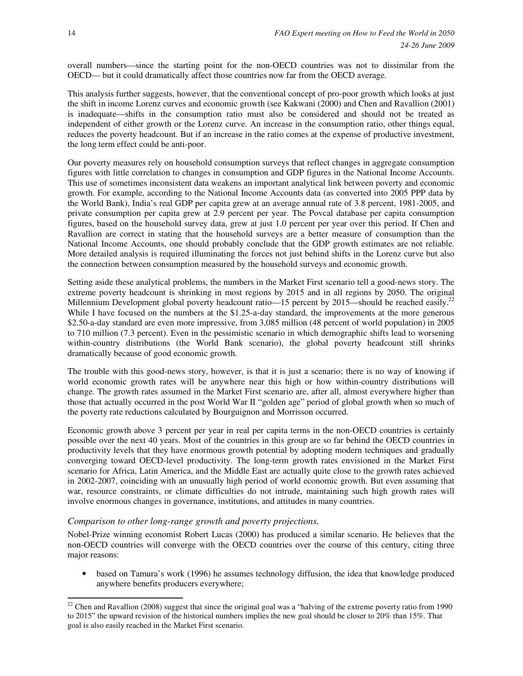overall numbers—since the starting point for the non-OECD countries was not to dissimilar from the OECD— but it could dramatically affect those countries now far from the OECD average.

This analysis further suggests, however, that the conventional concept of pro-poor growth which looks at just the shift in income Lorenz curves and economic growth (see Kakwani (2000) and Chen and Ravallion (2001) is inadequate—shifts in the consumption ratio must also be considered and should not be treated as independent of either growth or the Lorenz curve. An increase in the consumption ratio, other things equal, reduces the poverty headcount. But if an increase in the ratio comes at the expense of productive investment, the long term effect could be anti-poor.

Our poverty measures rely on household consumption surveys that reflect changes in aggregate consumption figures with little correlation to changes in consumption and GDP figures in the National Income Accounts. This use of sometimes inconsistent data weakens an important analytical link between poverty and economic growth. For example, according to the National Income Accounts data (as converted into 2005 PPP data by the World Bank), India's real GDP per capita grew at an average annual rate of 3.8 percent, 1981-2005, and private consumption per capita grew at 2.9 percent per year. The Povcal database per capita consumption figures, based on the household survey data, grew at just 1.0 percent per year over this period. If Chen and Ravallion are correct in stating that the household surveys are a better measure of consumption than the National Income Accounts, one should probably conclude that the GDP growth estimates are not reliable. More detailed analysis is required illuminating the forces not just behind shifts in the Lorenz curve but also the connection between consumption measured by the household surveys and economic growth.

Setting aside these analytical problems, the numbers in the Market First scenario tell a good-news story. The extreme poverty headcount is shrinking in most regions by 2015 and in all regions by 2050. The original Millennium Development global poverty headcount ratio—15 percent by 2015—should be reached easily.<sup>22</sup> While I have focused on the numbers at the \$1.25-a-day standard, the improvements at the more generous \$2.50-a-day standard are even more impressive, from 3,085 million (48 percent of world population) in 2005 to 710 million (7.3 percent). Even in the pessimistic scenario in which demographic shifts lead to worsening within-country distributions (the World Bank scenario), the global poverty headcount still shrinks dramatically because of good economic growth.

The trouble with this good-news story, however, is that it is just a scenario; there is no way of knowing if world economic growth rates will be anywhere near this high or how within-country distributions will change. The growth rates assumed in the Market First scenario are, after all, almost everywhere higher than those that actually occurred in the post World War II "golden age" period of global growth when so much of the poverty rate reductions calculated by Bourguignon and Morrisson occurred.

Economic growth above 3 percent per year in real per capita terms in the non-OECD countries is certainly possible over the next 40 years. Most of the countries in this group are so far behind the OECD countries in productivity levels that they have enormous growth potential by adopting modern techniques and gradually converging toward OECD-level productivity. The long-term growth rates envisioned in the Market First scenario for Africa, Latin America, and the Middle East are actually quite close to the growth rates achieved in 2002-2007, coinciding with an unusually high period of world economic growth. But even assuming that war, resource constraints, or climate difficulties do not intrude, maintaining such high growth rates will involve enormous changes in governance, institutions, and attitudes in many countries.

## *Comparison to other long-range growth and poverty projections.*

Nobel-Prize winning economist Robert Lucas (2000) has produced a similar scenario. He believes that the non-OECD countries will converge with the OECD countries over the course of this century, citing three major reasons:

• based on Tamura's work (1996) he assumes technology diffusion, the idea that knowledge produced anywhere benefits producers everywhere;

 $\ddot{ }$  $22$  Chen and Ravallion (2008) suggest that since the original goal was a "halving of the extreme poverty ratio from 1990 to 2015" the upward revision of the historical numbers implies the new goal should be closer to 20% than 15%. That goal is also easily reached in the Market First scenario.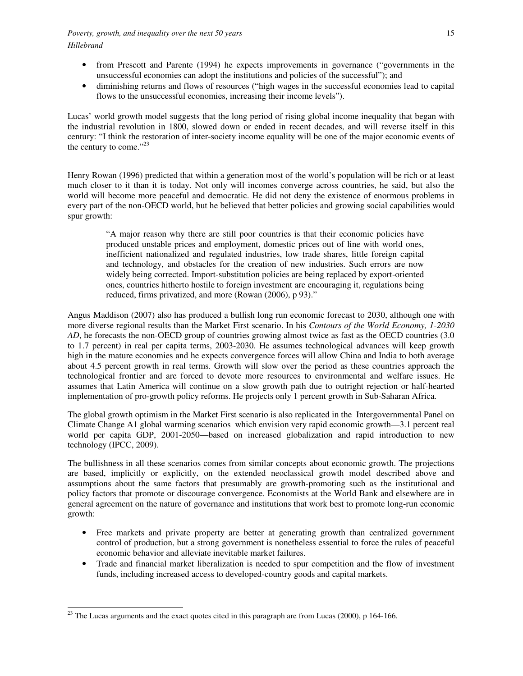- from Prescott and Parente (1994) he expects improvements in governance ("governments in the unsuccessful economies can adopt the institutions and policies of the successful"); and
- diminishing returns and flows of resources ("high wages in the successful economies lead to capital flows to the unsuccessful economies, increasing their income levels").

Lucas' world growth model suggests that the long period of rising global income inequality that began with the industrial revolution in 1800, slowed down or ended in recent decades, and will reverse itself in this century: "I think the restoration of inter-society income equality will be one of the major economic events of the century to come." $^{23}$ 

Henry Rowan (1996) predicted that within a generation most of the world's population will be rich or at least much closer to it than it is today. Not only will incomes converge across countries, he said, but also the world will become more peaceful and democratic. He did not deny the existence of enormous problems in every part of the non-OECD world, but he believed that better policies and growing social capabilities would spur growth:

"A major reason why there are still poor countries is that their economic policies have produced unstable prices and employment, domestic prices out of line with world ones, inefficient nationalized and regulated industries, low trade shares, little foreign capital and technology, and obstacles for the creation of new industries. Such errors are now widely being corrected. Import-substitution policies are being replaced by export-oriented ones, countries hitherto hostile to foreign investment are encouraging it, regulations being reduced, firms privatized, and more (Rowan (2006), p 93)."

Angus Maddison (2007) also has produced a bullish long run economic forecast to 2030, although one with more diverse regional results than the Market First scenario. In his *Contours of the World Economy, 1-2030 AD*, he forecasts the non-OECD group of countries growing almost twice as fast as the OECD countries (3.0) to 1.7 percent) in real per capita terms, 2003-2030. He assumes technological advances will keep growth high in the mature economies and he expects convergence forces will allow China and India to both average about 4.5 percent growth in real terms. Growth will slow over the period as these countries approach the technological frontier and are forced to devote more resources to environmental and welfare issues. He assumes that Latin America will continue on a slow growth path due to outright rejection or half-hearted implementation of pro-growth policy reforms. He projects only 1 percent growth in Sub-Saharan Africa.

The global growth optimism in the Market First scenario is also replicated in the Intergovernmental Panel on Climate Change A1 global warming scenarios which envision very rapid economic growth—3.1 percent real world per capita GDP, 2001-2050—based on increased globalization and rapid introduction to new technology (IPCC, 2009).

The bullishness in all these scenarios comes from similar concepts about economic growth. The projections are based, implicitly or explicitly, on the extended neoclassical growth model described above and assumptions about the same factors that presumably are growth-promoting such as the institutional and policy factors that promote or discourage convergence. Economists at the World Bank and elsewhere are in general agreement on the nature of governance and institutions that work best to promote long-run economic growth:

- Free markets and private property are better at generating growth than centralized government control of production, but a strong government is nonetheless essential to force the rules of peaceful economic behavior and alleviate inevitable market failures.
- Trade and financial market liberalization is needed to spur competition and the flow of investment funds, including increased access to developed-country goods and capital markets.

 $\ddot{ }$  $^{23}$  The Lucas arguments and the exact quotes cited in this paragraph are from Lucas (2000), p 164-166.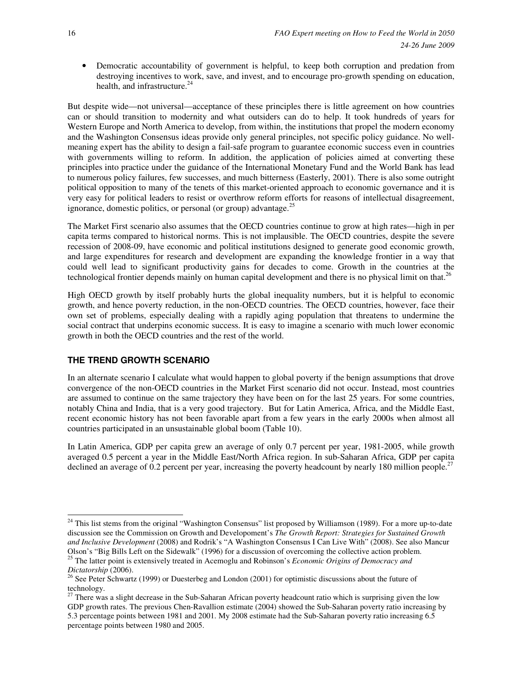• Democratic accountability of government is helpful, to keep both corruption and predation from destroying incentives to work, save, and invest, and to encourage pro-growth spending on education, health, and infrastructure.<sup>24</sup>

But despite wide—not universal—acceptance of these principles there is little agreement on how countries can or should transition to modernity and what outsiders can do to help. It took hundreds of years for Western Europe and North America to develop, from within, the institutions that propel the modern economy and the Washington Consensus ideas provide only general principles, not specific policy guidance. No wellmeaning expert has the ability to design a fail-safe program to guarantee economic success even in countries with governments willing to reform. In addition, the application of policies aimed at converting these principles into practice under the guidance of the International Monetary Fund and the World Bank has lead to numerous policy failures, few successes, and much bitterness (Easterly, 2001). There is also some outright political opposition to many of the tenets of this market-oriented approach to economic governance and it is very easy for political leaders to resist or overthrow reform efforts for reasons of intellectual disagreement, ignorance, domestic politics, or personal (or group) advantage.<sup>25</sup>

The Market First scenario also assumes that the OECD countries continue to grow at high rates—high in per capita terms compared to historical norms. This is not implausible. The OECD countries, despite the severe recession of 2008-09, have economic and political institutions designed to generate good economic growth, and large expenditures for research and development are expanding the knowledge frontier in a way that could well lead to significant productivity gains for decades to come. Growth in the countries at the technological frontier depends mainly on human capital development and there is no physical limit on that.<sup>26</sup>

High OECD growth by itself probably hurts the global inequality numbers, but it is helpful to economic growth, and hence poverty reduction, in the non-OECD countries. The OECD countries, however, face their own set of problems, especially dealing with a rapidly aging population that threatens to undermine the social contract that underpins economic success. It is easy to imagine a scenario with much lower economic growth in both the OECD countries and the rest of the world.

# **THE TREND GROWTH SCENARIO**

In an alternate scenario I calculate what would happen to global poverty if the benign assumptions that drove convergence of the non-OECD countries in the Market First scenario did not occur. Instead, most countries are assumed to continue on the same trajectory they have been on for the last 25 years. For some countries, notably China and India, that is a very good trajectory. But for Latin America, Africa, and the Middle East, recent economic history has not been favorable apart from a few years in the early 2000s when almost all countries participated in an unsustainable global boom (Table 10).

In Latin America, GDP per capita grew an average of only 0.7 percent per year, 1981-2005, while growth averaged 0.5 percent a year in the Middle East/North Africa region. In sub-Saharan Africa, GDP per capita declined an average of 0.2 percent per year, increasing the poverty headcount by nearly 180 million people.<sup>27</sup>

 $\ddot{ }$ 

<sup>&</sup>lt;sup>24</sup> This list stems from the original "Washington Consensus" list proposed by Williamson (1989). For a more up-to-date discussion see the Commission on Growth and Developoment's *The Growth Report: Strategies for Sustained Growth and Inclusive Development* (2008) and Rodrik's "A Washington Consensus I Can Live With" (2008). See also Mancur Olson's "Big Bills Left on the Sidewalk" (1996) for a discussion of overcoming the collective action problem. <sup>25</sup> The latter point is extensively treated in Acemoglu and Robinson's *Economic Origins of Democracy and* 

*Dictatorship* (2006).

<sup>&</sup>lt;sup>26</sup> See Peter Schwartz (1999) or Duesterbeg and London (2001) for optimistic discussions about the future of technology.

<sup>&</sup>lt;sup>27</sup> There was a slight decrease in the Sub-Saharan African poverty headcount ratio which is surprising given the low GDP growth rates. The previous Chen-Ravallion estimate (2004) showed the Sub-Saharan poverty ratio increasing by 5.3 percentage points between 1981 and 2001. My 2008 estimate had the Sub-Saharan poverty ratio increasing 6.5 percentage points between 1980 and 2005.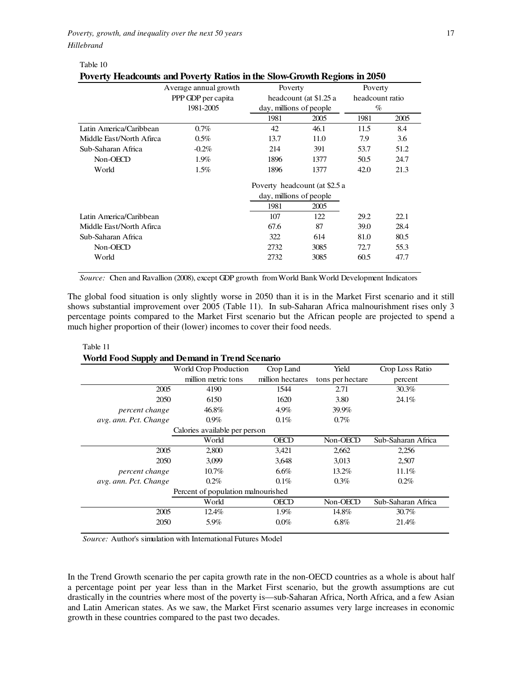*Poverty, growth, and inequality over the next 50 years* 17 *Hillebrand* 

Table 10

| Poverty Headcounts and Poverty Ratios in the Slow-Growth Regions in 2050 |                       |                         |                               |                 |      |  |  |  |
|--------------------------------------------------------------------------|-----------------------|-------------------------|-------------------------------|-----------------|------|--|--|--|
|                                                                          | Average annual growth | Poverty                 |                               | Poverty         |      |  |  |  |
|                                                                          | PPP GDP per capita    |                         | headcount (at \$1.25 a        | headcount ratio |      |  |  |  |
|                                                                          | 1981-2005             | day, millions of people |                               | $\%$            |      |  |  |  |
|                                                                          |                       | 1981                    | 2005                          | 1981            | 2005 |  |  |  |
| Latin America/Caribbean                                                  | $0.7\%$               | 42                      | 46.1                          | 11.5            | 8.4  |  |  |  |
| Middle Fast/North Afirca                                                 | $0.5\%$               | 13.7                    | 11.0                          | 7.9             | 3.6  |  |  |  |
| Sub-Saharan Africa                                                       | $-0.2\%$              | 214                     | 391                           | 53.7            | 51.2 |  |  |  |
| Non-OECD                                                                 | 1.9%                  | 1896                    | 1377                          | 50.5            | 24.7 |  |  |  |
| World                                                                    | $1.5\%$               | 1896                    | 1377                          | 42.0            | 21.3 |  |  |  |
|                                                                          |                       |                         | Poverty headcount (at \$2.5 a |                 |      |  |  |  |
|                                                                          |                       | day, millions of people |                               |                 |      |  |  |  |
|                                                                          |                       | 1981                    | 2005                          |                 |      |  |  |  |
| Latin America/Caribbean                                                  |                       | 107                     | 122                           | 29.2            | 22.1 |  |  |  |
| Middle Fast/North Afirca                                                 |                       | 67.6                    | 87                            | 39.0            | 28.4 |  |  |  |
| Sub-Saharan Africa                                                       |                       | 322                     | 614                           | 81.0            | 80.5 |  |  |  |
| Non-OECD                                                                 |                       | 2732                    | 3085                          | 72.7            | 55.3 |  |  |  |
| World                                                                    |                       | 2732                    | 3085                          | 60.5            | 47.7 |  |  |  |

## **Poverty Headcounts and Poverty Ratios in the Slow-Growth Regions in 2050**

*Source:* Chen and Ravallion (2008), except GDP growth from World Bank World Development Indicators

The global food situation is only slightly worse in 2050 than it is in the Market First scenario and it still shows substantial improvement over 2005 (Table 11). In sub-Saharan Africa malnourishment rises only 3 percentage points compared to the Market First scenario but the African people are projected to spend a much higher proportion of their (lower) incomes to cover their food needs.

#### Table 11 **World Food Supply and Demand in Trend Scenario**

| volta Pood Supply and Defitand in Trend Scenario |           |
|--------------------------------------------------|-----------|
| World Crop Production                            | Crop Land |

| .                                  | World Crop Production         | Crop Land        | Yield            | Crop Loss Ratio    |  |  |  |  |
|------------------------------------|-------------------------------|------------------|------------------|--------------------|--|--|--|--|
|                                    | million metric tons           | million hectares | tons per hectare | percent            |  |  |  |  |
| 2005                               | 4190                          | 1544             | 2.71             | 30.3%              |  |  |  |  |
| 2050                               | 6150                          | 1620             | 3.80             | 24.1%              |  |  |  |  |
| percent change                     | 46.8%                         | 4.9%             | 39.9%            |                    |  |  |  |  |
| avg. ann. Pct. Change              | $0.9\%$                       | 0.1%             | $0.7\%$          |                    |  |  |  |  |
|                                    | Calories available per person |                  |                  |                    |  |  |  |  |
|                                    | World                         | <b>OECD</b>      | Non-OECD         | Sub-Saharan Africa |  |  |  |  |
| 2005                               | 2,800                         | 3,421            | 2,662            | 2,256              |  |  |  |  |
| 2050                               | 3,099                         | 3,648            | 3,013            | 2,507              |  |  |  |  |
| percent change                     | $10.7\%$                      | 6.6%             | 13.2%            | 11.1%              |  |  |  |  |
| avg. ann. Pct. Change              | $0.2\%$                       | 0.1%             | 0.3%             | $0.2\%$            |  |  |  |  |
| Percent of population malnourished |                               |                  |                  |                    |  |  |  |  |
|                                    | World                         | <b>OECD</b>      | Non-OECD         | Sub-Saharan Africa |  |  |  |  |
| 2005                               | 12.4%                         | 1.9%             | 14.8%            | 30.7%              |  |  |  |  |
| 2050                               | 5.9%                          | 0.0%             | $6.8\%$          | 21.4%              |  |  |  |  |

*Source:* Author's simulation with International Futures Model

In the Trend Growth scenario the per capita growth rate in the non-OECD countries as a whole is about half a percentage point per year less than in the Market First scenario, but the growth assumptions are cut drastically in the countries where most of the poverty is—sub-Saharan Africa, North Africa, and a few Asian and Latin American states. As we saw, the Market First scenario assumes very large increases in economic growth in these countries compared to the past two decades.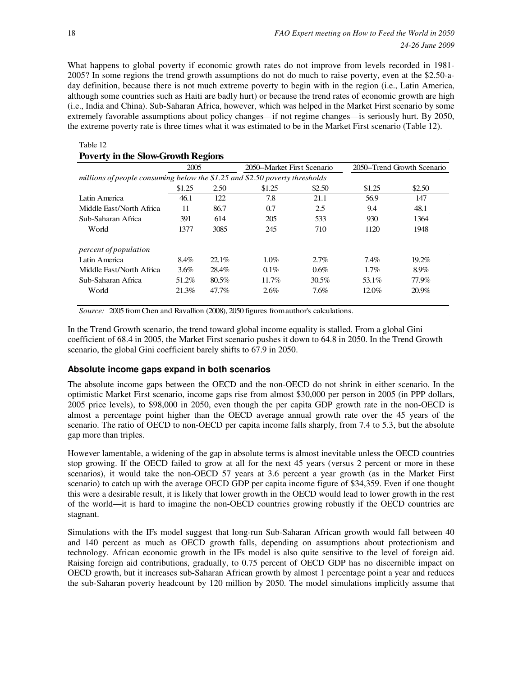What happens to global poverty if economic growth rates do not improve from levels recorded in 1981- 2005? In some regions the trend growth assumptions do not do much to raise poverty, even at the \$2.50-aday definition, because there is not much extreme poverty to begin with in the region (i.e., Latin America, although some countries such as Haiti are badly hurt) or because the trend rates of economic growth are high (i.e., India and China). Sub-Saharan Africa, however, which was helped in the Market First scenario by some extremely favorable assumptions about policy changes—if not regime changes—is seriously hurt. By 2050, the extreme poverty rate is three times what it was estimated to be in the Market First scenario (Table 12).

#### Table 12

## **Poverty in the Slow-Growth Regions**

|                                                                             | 2005   |       | 2050-Market First Scenario |        | 2050–Trend Growth Scenario |          |  |  |  |  |
|-----------------------------------------------------------------------------|--------|-------|----------------------------|--------|----------------------------|----------|--|--|--|--|
| millions of people consuming below the \$1.25 and \$2.50 poverty thresholds |        |       |                            |        |                            |          |  |  |  |  |
|                                                                             | \$1.25 | 2.50  | \$1.25                     | \$2.50 | \$1.25                     | \$2.50   |  |  |  |  |
| Latin America                                                               | 46.1   | 122   | 7.8                        | 21.1   | 56.9                       | 147      |  |  |  |  |
| Middle Fast/North Africa                                                    | 11     | 86.7  | 0.7                        | 2.5    | 9.4                        | 48.1     |  |  |  |  |
| Sub-Saharan Africa                                                          | 391    | 614   | 205                        | 533    | 930                        | 1364     |  |  |  |  |
| World                                                                       | 1377   | 3085  | 245                        | 710    | 1120                       | 1948     |  |  |  |  |
| percent of population                                                       |        |       |                            |        |                            |          |  |  |  |  |
| Latin America                                                               | 8.4%   | 22.1% | 1.0%                       | 2.7%   | 7.4%                       | $19.2\%$ |  |  |  |  |
| Middle Fast/North Africa                                                    | 3.6%   | 28.4% | $0.1\%$                    | 0.6%   | 1.7%                       | 8.9%     |  |  |  |  |
| Sub-Saharan Africa                                                          | 51.2%  | 80.5% | 11.7%                      | 30.5%  | 53.1%                      | 77.9%    |  |  |  |  |
| World                                                                       | 21.3%  | 47.7% | 2.6%                       | 7.6%   | $12.0\%$                   | $20.9\%$ |  |  |  |  |

*Source:* 2005 from Chen and Ravallion (2008), 2050 figures from author's calculations.

In the Trend Growth scenario, the trend toward global income equality is stalled. From a global Gini coefficient of 68.4 in 2005, the Market First scenario pushes it down to 64.8 in 2050. In the Trend Growth scenario, the global Gini coefficient barely shifts to 67.9 in 2050.

## **Absolute income gaps expand in both scenarios**

The absolute income gaps between the OECD and the non-OECD do not shrink in either scenario. In the optimistic Market First scenario, income gaps rise from almost \$30,000 per person in 2005 (in PPP dollars, 2005 price levels), to \$98,000 in 2050, even though the per capita GDP growth rate in the non-OECD is almost a percentage point higher than the OECD average annual growth rate over the 45 years of the scenario. The ratio of OECD to non-OECD per capita income falls sharply, from 7.4 to 5.3, but the absolute gap more than triples.

However lamentable, a widening of the gap in absolute terms is almost inevitable unless the OECD countries stop growing. If the OECD failed to grow at all for the next 45 years (versus 2 percent or more in these scenarios), it would take the non-OECD 57 years at 3.6 percent a year growth (as in the Market First scenario) to catch up with the average OECD GDP per capita income figure of \$34,359. Even if one thought this were a desirable result, it is likely that lower growth in the OECD would lead to lower growth in the rest of the world—it is hard to imagine the non-OECD countries growing robustly if the OECD countries are stagnant.

Simulations with the IFs model suggest that long-run Sub-Saharan African growth would fall between 40 and 140 percent as much as OECD growth falls, depending on assumptions about protectionism and technology. African economic growth in the IFs model is also quite sensitive to the level of foreign aid. Raising foreign aid contributions, gradually, to 0.75 percent of OECD GDP has no discernible impact on OECD growth, but it increases sub-Saharan African growth by almost 1 percentage point a year and reduces the sub-Saharan poverty headcount by 120 million by 2050. The model simulations implicitly assume that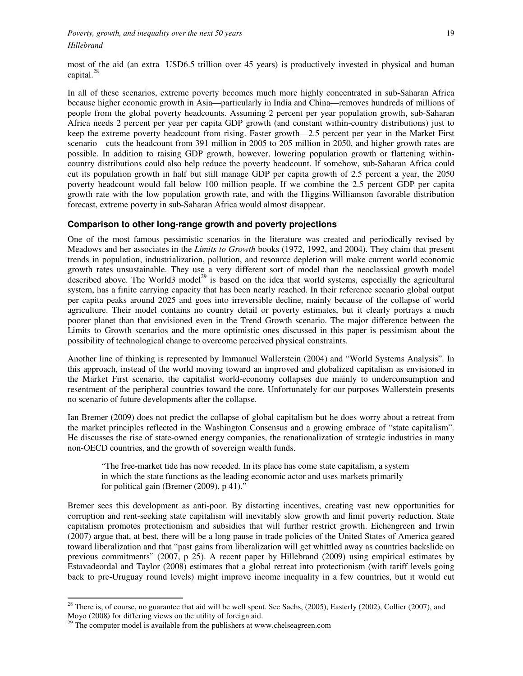most of the aid (an extra USD6.5 trillion over 45 years) is productively invested in physical and human capital. $^{28}$ 

In all of these scenarios, extreme poverty becomes much more highly concentrated in sub-Saharan Africa because higher economic growth in Asia—particularly in India and China—removes hundreds of millions of people from the global poverty headcounts. Assuming 2 percent per year population growth, sub-Saharan Africa needs 2 percent per year per capita GDP growth (and constant within-country distributions) just to keep the extreme poverty headcount from rising. Faster growth—2.5 percent per year in the Market First scenario—cuts the headcount from 391 million in 2005 to 205 million in 2050, and higher growth rates are possible. In addition to raising GDP growth, however, lowering population growth or flattening withincountry distributions could also help reduce the poverty headcount. If somehow, sub-Saharan Africa could cut its population growth in half but still manage GDP per capita growth of 2.5 percent a year, the 2050 poverty headcount would fall below 100 million people. If we combine the 2.5 percent GDP per capita growth rate with the low population growth rate, and with the Higgins-Williamson favorable distribution forecast, extreme poverty in sub-Saharan Africa would almost disappear.

#### **Comparison to other long-range growth and poverty projections**

One of the most famous pessimistic scenarios in the literature was created and periodically revised by Meadows and her associates in the *Limits to Growth* books (1972, 1992, and 2004). They claim that present trends in population, industrialization, pollution, and resource depletion will make current world economic growth rates unsustainable. They use a very different sort of model than the neoclassical growth model described above. The World3 model<sup>29</sup> is based on the idea that world systems, especially the agricultural system, has a finite carrying capacity that has been nearly reached. In their reference scenario global output per capita peaks around 2025 and goes into irreversible decline, mainly because of the collapse of world agriculture. Their model contains no country detail or poverty estimates, but it clearly portrays a much poorer planet than that envisioned even in the Trend Growth scenario. The major difference between the Limits to Growth scenarios and the more optimistic ones discussed in this paper is pessimism about the possibility of technological change to overcome perceived physical constraints.

Another line of thinking is represented by Immanuel Wallerstein (2004) and "World Systems Analysis". In this approach, instead of the world moving toward an improved and globalized capitalism as envisioned in the Market First scenario, the capitalist world-economy collapses due mainly to underconsumption and resentment of the peripheral countries toward the core. Unfortunately for our purposes Wallerstein presents no scenario of future developments after the collapse.

Ian Bremer (2009) does not predict the collapse of global capitalism but he does worry about a retreat from the market principles reflected in the Washington Consensus and a growing embrace of "state capitalism". He discusses the rise of state-owned energy companies, the renationalization of strategic industries in many non-OECD countries, and the growth of sovereign wealth funds.

"The free-market tide has now receded. In its place has come state capitalism, a system in which the state functions as the leading economic actor and uses markets primarily for political gain (Bremer (2009), p 41)."

Bremer sees this development as anti-poor. By distorting incentives, creating vast new opportunities for corruption and rent-seeking state capitalism will inevitably slow growth and limit poverty reduction. State capitalism promotes protectionism and subsidies that will further restrict growth. Eichengreen and Irwin (2007) argue that, at best, there will be a long pause in trade policies of the United States of America geared toward liberalization and that "past gains from liberalization will get whittled away as countries backslide on previous commitments" (2007, p 25). A recent paper by Hillebrand (2009) using empirical estimates by Estavadeordal and Taylor (2008) estimates that a global retreat into protectionism (with tariff levels going back to pre-Uruguay round levels) might improve income inequality in a few countries, but it would cut

 $\ddot{ }$ 

 $2<sup>28</sup>$  There is, of course, no guarantee that aid will be well spent. See Sachs, (2005), Easterly (2002), Collier (2007), and Moyo (2008) for differing views on the utility of foreign aid.

 $29$  The computer model is available from the publishers at www.chelseagreen.com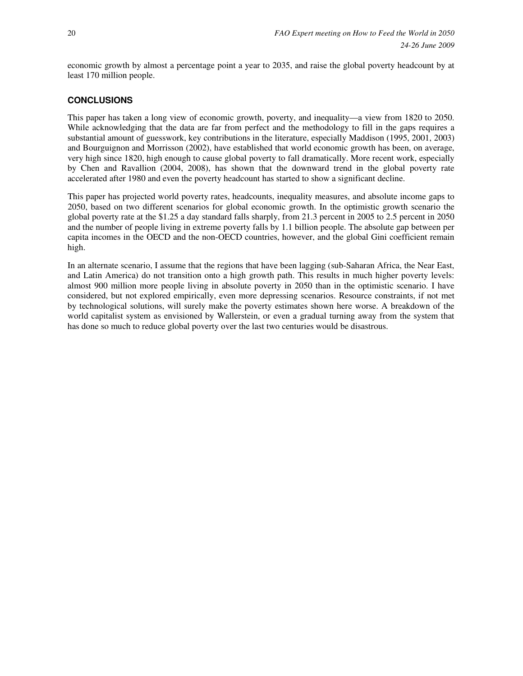economic growth by almost a percentage point a year to 2035, and raise the global poverty headcount by at least 170 million people.

# **CONCLUSIONS**

This paper has taken a long view of economic growth, poverty, and inequality—a view from 1820 to 2050. While acknowledging that the data are far from perfect and the methodology to fill in the gaps requires a substantial amount of guesswork, key contributions in the literature, especially Maddison (1995, 2001, 2003) and Bourguignon and Morrisson (2002), have established that world economic growth has been, on average, very high since 1820, high enough to cause global poverty to fall dramatically. More recent work, especially by Chen and Ravallion (2004, 2008), has shown that the downward trend in the global poverty rate accelerated after 1980 and even the poverty headcount has started to show a significant decline.

This paper has projected world poverty rates, headcounts, inequality measures, and absolute income gaps to 2050, based on two different scenarios for global economic growth. In the optimistic growth scenario the global poverty rate at the \$1.25 a day standard falls sharply, from 21.3 percent in 2005 to 2.5 percent in 2050 and the number of people living in extreme poverty falls by 1.1 billion people. The absolute gap between per capita incomes in the OECD and the non-OECD countries, however, and the global Gini coefficient remain high.

In an alternate scenario, I assume that the regions that have been lagging (sub-Saharan Africa, the Near East, and Latin America) do not transition onto a high growth path. This results in much higher poverty levels: almost 900 million more people living in absolute poverty in 2050 than in the optimistic scenario. I have considered, but not explored empirically, even more depressing scenarios. Resource constraints, if not met by technological solutions, will surely make the poverty estimates shown here worse. A breakdown of the world capitalist system as envisioned by Wallerstein, or even a gradual turning away from the system that has done so much to reduce global poverty over the last two centuries would be disastrous.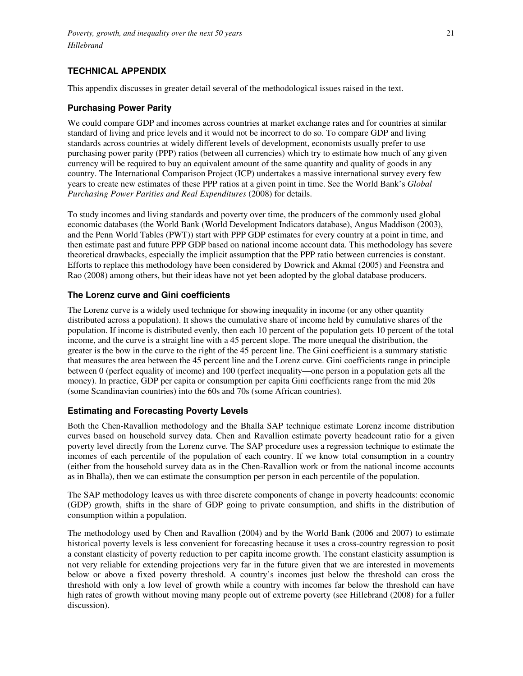# **TECHNICAL APPENDIX**

This appendix discusses in greater detail several of the methodological issues raised in the text.

# **Purchasing Power Parity**

We could compare GDP and incomes across countries at market exchange rates and for countries at similar standard of living and price levels and it would not be incorrect to do so. To compare GDP and living standards across countries at widely different levels of development, economists usually prefer to use purchasing power parity (PPP) ratios (between all currencies) which try to estimate how much of any given currency will be required to buy an equivalent amount of the same quantity and quality of goods in any country. The International Comparison Project (ICP) undertakes a massive international survey every few years to create new estimates of these PPP ratios at a given point in time. See the World Bank's *Global Purchasing Power Parities and Real Expenditures* (2008) for details.

To study incomes and living standards and poverty over time, the producers of the commonly used global economic databases (the World Bank (World Development Indicators database), Angus Maddison (2003), and the Penn World Tables (PWT)) start with PPP GDP estimates for every country at a point in time, and then estimate past and future PPP GDP based on national income account data. This methodology has severe theoretical drawbacks, especially the implicit assumption that the PPP ratio between currencies is constant. Efforts to replace this methodology have been considered by Dowrick and Akmal (2005) and Feenstra and Rao (2008) among others, but their ideas have not yet been adopted by the global database producers.

## **The Lorenz curve and Gini coefficients**

The Lorenz curve is a widely used technique for showing inequality in income (or any other quantity distributed across a population). It shows the cumulative share of income held by cumulative shares of the population. If income is distributed evenly, then each 10 percent of the population gets 10 percent of the total income, and the curve is a straight line with a 45 percent slope. The more unequal the distribution, the greater is the bow in the curve to the right of the 45 percent line. The Gini coefficient is a summary statistic that measures the area between the 45 percent line and the Lorenz curve. Gini coefficients range in principle between 0 (perfect equality of income) and 100 (perfect inequality—one person in a population gets all the money). In practice, GDP per capita or consumption per capita Gini coefficients range from the mid 20s (some Scandinavian countries) into the 60s and 70s (some African countries).

# **Estimating and Forecasting Poverty Levels**

Both the Chen-Ravallion methodology and the Bhalla SAP technique estimate Lorenz income distribution curves based on household survey data. Chen and Ravallion estimate poverty headcount ratio for a given poverty level directly from the Lorenz curve. The SAP procedure uses a regression technique to estimate the incomes of each percentile of the population of each country. If we know total consumption in a country (either from the household survey data as in the Chen-Ravallion work or from the national income accounts as in Bhalla), then we can estimate the consumption per person in each percentile of the population.

The SAP methodology leaves us with three discrete components of change in poverty headcounts: economic (GDP) growth, shifts in the share of GDP going to private consumption, and shifts in the distribution of consumption within a population.

The methodology used by Chen and Ravallion (2004) and by the World Bank (2006 and 2007) to estimate historical poverty levels is less convenient for forecasting because it uses a cross-country regression to posit a constant elasticity of poverty reduction to per capita income growth. The constant elasticity assumption is not very reliable for extending projections very far in the future given that we are interested in movements below or above a fixed poverty threshold. A country's incomes just below the threshold can cross the threshold with only a low level of growth while a country with incomes far below the threshold can have high rates of growth without moving many people out of extreme poverty (see Hillebrand (2008) for a fuller discussion).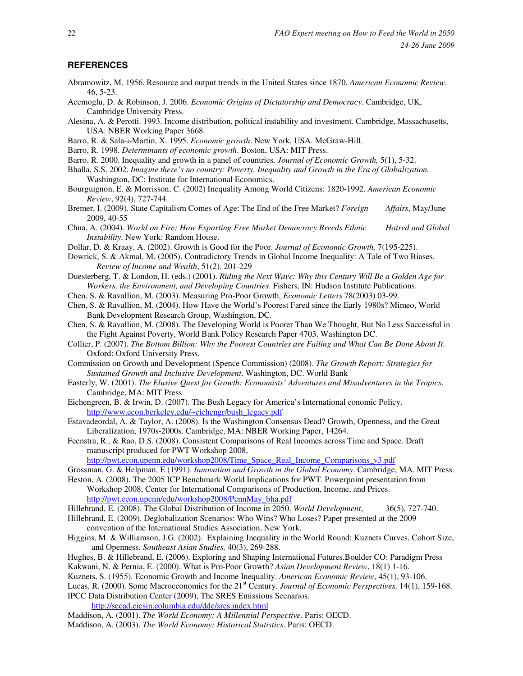#### **REFERENCES**

- Abramowitz, M. 1956. Resource and output trends in the United States since 1870. *American Economic Review*. 46, 5-23.
- Acemoglu, D. & Robinson, J. 2006. *Economic Origins of Dictatorship and Democracy*. Cambridge, UK, Cambridge University Press.
- Alesina, A. & Perotti. 1993. Income distribution, political instability and investment. Cambridge, Massachusetts, USA: NBER Working Paper 3668.
- Barro, R. & Sala-i-Martin, X. 1995. *Economic growth*. New York, USA. McGraw-Hill.
- Barro, R. 1998. *Determinants of economic growth*. Boston, USA: MIT Press.
- Barro, R. 2000. Inequality and growth in a panel of countries. *Journal of Economic Growth,* 5(1), 5-32.
- Bhalla, S.S. 2002. *Imagine there's no country: Poverty, Inequality and Growth in the Era of Globalization.* Washington, DC: Institute for International Economics.
- Bourguignon, E. & Morrisson, C. (2002) Inequality Among World Citizens: 1820-1992. *American Economic Review*, 92(4), 727-744.
- Bremer, I. (2009). State Capitalism Comes of Age: The End of the Free Market? *Foreign Affairs*, May/June 2009, 40-55
- Chua, A. (2004). *World on Fire: How Exporting Free Market Democracy Breeds Ethnic Hatred and Global Instability*. New York: Random House.
- Dollar, D. & Kraay, A. (2002). Growth is Good for the Poor. *Journal of Economic Growth,* 7(195-225).
- Dowrick, S. & Akmal, M. (2005). Contradictory Trends in Global Income Inequality: A Tale of Two Biases. *Review of Income and Wealth*, 51(2). 201-229
- Duesterberg, T. & London, H. (eds.) (2001). *Riding the Next Wave: Why this Century Will Be a Golden Age for Workers, the Environment, and Developing Countries*. Fishers, IN: Hudson Institute Publications.
- Chen, S. & Ravallion, M. (2003). Measuring Pro-Poor Growth, *Economic Letters* 78(2003) 03-99.
- Chen, S. & Ravallion, M. (2004). How Have the World's Poorest Fared since the Early 1980s? Mimeo, World Bank Development Research Group, Washington, DC.
- Chen, S. & Ravallion, M. (2008). The Developing World is Poorer Than We Thought, But No Less Successful in the Fight Against Poverty, World Bank Policy Research Paper 4703. Washington DC.
- Collier, P. (2007). *The Bottom Billion: Why the Poorest Countries are Failing and What Can Be Done About It*. Oxford: Oxford University Press.
- Commission on Growth and Development (Spence Commission) (2008). *The Growth Report: Strategies for Sustained Growth and Inclusive Development*. Washington, DC. World Bank
- Easterly, W. (2001). *The Elusive Quest for Growth: Economists' Adventures and Misadventures in the Tropics*. Cambridge, MA: MIT Press
- Eichengreen, B. & Irwin, D. (2007). The Bush Legacy for America's International conomic Policy. http://www.econ.berkeley.edu/~eichengr/bush\_legacy.pdf
- Estavadeordal, A. & Taylor, A. (2008). Is the Washington Consensus Dead? Growth, Openness, and the Great Liberalization, 1970s-2000s. Cambridge, MA: NBER Working Paper, 14264.
- Feenstra, R., & Rao, D.S. (2008). Consistent Comparisons of Real Incomes across Time and Space. Draft manuscript produced for PWT Workshop 2008,

http://pwt.econ.upenn.edu/workshop2008/Time\_Space\_Real\_Income\_Comparisons\_v3.pdf

- Grossman, G. & Helpman, E (1991). *Innovation and Growth in the Global Economy*. Cambridge, MA. MIT Press.
- Heston, A. (2008). The 2005 ICP Benchmark World Implications for PWT. Powerpoint presentation from Workshop 2008, Center for International Comparisons of Production, Income, and Prices. http://pwt.econ.upenn/edu/workshop2008/PennMay\_bha.pdf
- Hillebrand, E. (2008). The Global Distribution of Income in 2050. *World Development*, 36(5), 727-740.
- Hillebrand, E. (2009). Deglobalization Scenarios: Who Wins? Who Loses? Paper presented at the 2009 convention of the International Studies Association, New York.
- Higgins, M. & Williamson, J.G. (2002). Explaining Inequality in the World Round: Kuznets Curves, Cohort Size, and Openness. *Southeast Asian Studies,* 40(3), 269-288.
- Hughes, B. & Hillebrand, E. (2006). Exploring and Shaping International Futures.Boulder CO: Paradigm Press Kakwani, N. & Pernia, E. (2000). What is Pro-Poor Growth? *Asian Development Review*, 18(1) 1-16.
- Kuznets, S. (1955). Economic Growth and Income Inequality. *American Economic Review*, 45(1), 93-106.
- Lucas, R. (2000). Some Macroeconomics for the 21<sup>st</sup> Century. *Journal of Economic Perspectives*, 14(1), 159-168. IPCC Data Distribution Center (2009), The SRES Emissions Scenarios.

http://secad.ciesin.columbia.edu/ddc/sres.index.html

- Maddison, A. (2001). *The World Economy: A Millennial Perspective*. Paris: OECD.
- Maddison, A. (2003). *The World Economy: Historical Statistics*. Paris: OECD.